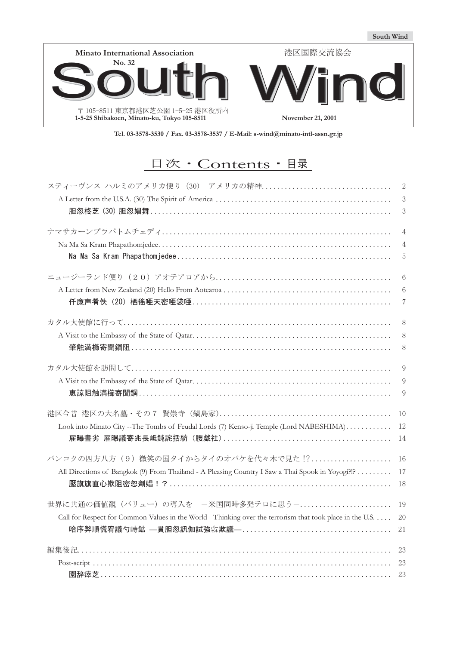

**Tel. 03-3578-3530 / Fax. 03-3578-3537 / E-Mail: s-wind@minato-intl-assn.gr.jp**

# 目次·Contents · 目录

|                                                                                                           | 2              |
|-----------------------------------------------------------------------------------------------------------|----------------|
|                                                                                                           | $\sqrt{3}$     |
|                                                                                                           | $\sqrt{3}$     |
|                                                                                                           | $\overline{4}$ |
|                                                                                                           | 4              |
|                                                                                                           | 5              |
|                                                                                                           | 6              |
|                                                                                                           | 6              |
| 仟廉声肴佚(20)栖徭唖天密唖袋唖…………………………………………………………                                                                   | 7              |
|                                                                                                           | 8              |
|                                                                                                           | $8\,$          |
|                                                                                                           | 8              |
|                                                                                                           | $\overline{9}$ |
|                                                                                                           | 9              |
| 恵諒阻触満櫛寄聞鋼……………………………………………………………………………                                                                    | 9              |
|                                                                                                           | 10             |
| Look into Minato City --The Tombs of Feudal Lords (7) Kenso-ji Temple (Lord NABESHIMA)                    | 12             |
|                                                                                                           | 14             |
| バンコクの四方八方 (9) 微笑の国タイからタイのオバケを代々木で見た!?                                                                     | 16             |
| All Directions of Bangkok (9) From Thailand - A Pleasing Country I Saw a Thai Spook in Yoyogi?!?          | 17             |
|                                                                                                           | 18             |
| 世界に共通の価値観(バリュー)の導入を -米国同時多発テロに思う-                                                                         | 19             |
| Call for Respect for Common Values in the World - Thinking over the terrorism that took place in the U.S. | 20             |
|                                                                                                           | 21             |
|                                                                                                           | 23             |
|                                                                                                           | 23             |
| 園辞瘁芝………………………………………………………………………………………                                                                     | 23             |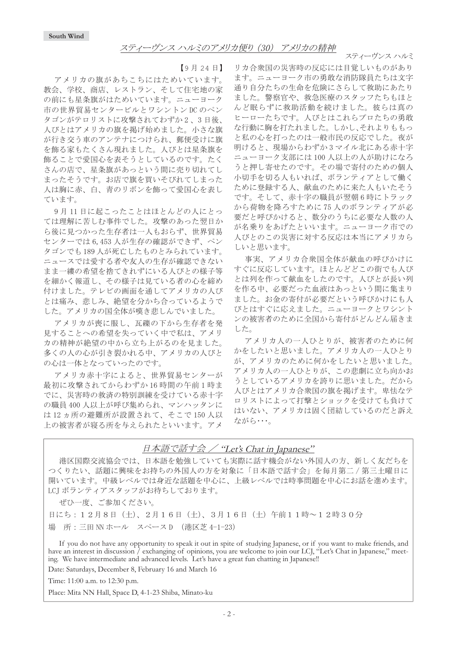スティーヴンス ハルミ

【9月24日】

アメリカの旗があちこちにはためいています。 教会、学校、商店、レストラン、そして住宅地の家 の前にも星条旗がはためいています。ニューヨーク 市の世界貿易センタービルとワシントンDCのペン タゴンがテロリストに攻撃されてわずか2、3日後、 人びとはアメリカの旗を掲げ始めました。小さな旗 が行き交う車のアンテナにつけられ、郵便受けに旗 を飾る家もたくさん現れました。人びとは星条旗を 飾ることで愛国心を表そうとしているのです。たく さんの店で、星条旗があっという間に売り切れてし まったそうです。お店で旗を買いそびれてしまった 人は胸に赤、白、青のリボンを飾って愛国心を表し ています。

9月11日に起こったことはほとんどの人にとっ ては理解に苦しむ事件でした。攻撃のあった翌日か ら後に見つかった生存者は一人もおらず、世界貿易 センターでは6,453人が生存の確認ができず、ペン タゴンでも189人が死亡したものとみられています。 ニュースでは愛する者や友人の生存が確認できない まま一縷の希望を捨てきれずにいる人びとの様子等 を細かく報道し、その様子は見ている者の心を締め 付けました。テレビの画面を通してアメリカの人び とは痛み、悲しみ、絶望を分かち合っているようで した。アメリカの国全体が嘆き悲しんでいました。

アメリカが喪に服し、瓦礫の下から生存者を発 見することへの希望を失っていく中で私は、アメリ 力の精神が絶望の中から立ち上がるのを見ました。 多くの人の心が引き裂かれる中、アメリカの人びと の心は一体となっていったのです。

アメリカ赤十字によると、世界貿易センターが 最初に攻撃されてからわずか16時間の午前1時ま でに、災害時の救済の特別訓練を受けている赤十字 の職員 400 人以上が呼び集められ、マンハッタンに は12ヵ所の避難所が設置されて、そこで150人以 上の被害者が寝る所を与えられたといいます。アメ

リカ合衆国の災害時の反応には目覚しいものがあり ます。ニューヨーク市の勇敢な消防隊員たちは文字 通り自分たちの生命を危険にさらして救助にあたり ました。警察官や、救急医療のスタッフたちもほと んど眠らずに救助活動を続けました。彼らは真の ヒーローたちです。人びとはこれらプロたちの勇敢 な行動に胸を打たれました。しかし、それよりももっ と私の心を打ったのは一般市民の反応でした。夜が 明けると、現場からわずか3マイル北にある赤十字 ニューヨーク支部には100人以上の人が助けになろ うと押し寄せたのです。その場で寄付のための個人 小切手を切る人もいれば、ボランティアとして働く ために登録する人、献血のために来た人もいたそう です。そして、赤十字の職員が翌朝6時にトラック から荷物を降ろすために75人のボランティアが必 要だと呼びかけると、数分のうちに必要な人数の人 が名乗りをあげたといいます。ニューヨーク市での 人びとのこの災害に対する反応は本当にアメリカら しいと思います。

事実、アメリカ合衆国全体が献血の呼びかけに すぐに反応しています。ほとんどどこの街でも人び とは列を作って献血をしたのです。人びとが長い列 を作る中、必要だった血液はあっという間に集まり ました。お金の寄付が必要だという呼びかけにも人 びとはすぐに応えました。ニューヨークとワシント ンの被害者のために全国から寄付がどんどん届きま した。

アメリカ人の一人ひとりが、被害者のために何 かをしたいと思いました。アメリカ人の一人ひとり が、アメリカのために何かをしたいと思いました。 アメリカ人の一人ひとりが、この悲劇に立ち向かお うとしているアメリカを誇りに思いました。だから 人びとはアメリカ合衆国の旗を掲げます。卑怯なテ ロリストによって打撃とショックを受けても負けて はいない、アメリカは固く団結しているのだと訴え ながら…。

# 日本語で話す会 / "Let's Chat in Japanese"

港区国際交流協会では、日本語を勉強していても実際に話す機会がない外国人の方、新しく友だちを つくりたい、話題に興味をお持ちの外国人の方を対象に「日本語で話す会」を毎月第二/第三十曜日に 開いています。中級レベルでは身近な話題を中心に、上級レベルでは時事問題を中心にお話を進めます。 LCJ ボランティアスタッフがお待ちしております。

ぜひ一度、ご参加ください。

日にち: 12月8日 (土)、2月16日 (土)、3月16日 (土) 午前11時~12時30分 場 所: 三田 NN ホール スペース D (港区芝 4-1-23)

If you do not have any opportunity to speak it out in spite of studying Japanese, or if you want to make friends, and have an interest in discussion / exchanging of opinions, you are welcome to join our LCJ, "Let's Chat in Japanese," meeting. We have intermediate and advanced levels. Let's have a great fun chatting in Japanese!!

Date: Saturdays, December 8, February 16 and March 16

Time: 11:00 a.m. to 12:30 p.m.

Place: Mita NN Hall, Space D, 4-1-23 Shiba, Minato-ku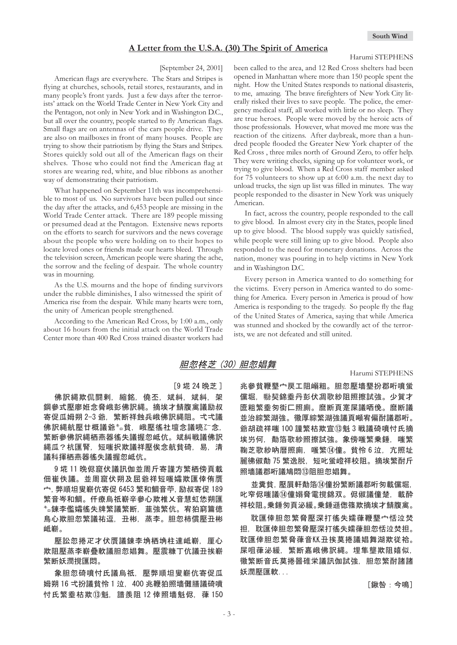#### **A Letter from the U.S.A. (30) The Spirit of America**

#### Harumi STEPHENS

#### [September 24, 2001]

American flags are everywhere. The Stars and Stripes is flying at churches, schools, retail stores, restaurants, and in many people's front yards. Just a few days after the terrorists' attack on the World Trade Center in New York City and the Pentagon, not only in New York and in Washington D.C., but all over the country, people started to fly American flags. Small flags are on antennas of the cars people drive. They are also on mailboxes in front of many houses. People are trying to show their patriotism by flying the Stars and Stripes. Stores quickly sold out all of the American flags on their shelves. Those who could not find the American flag at stores are wearing red, white, and blue ribbons as another way of demonstrating their patriotism.

What happened on September 11th was incomprehensible to most of us. No survivors have been pulled out since the day after the attacks, and 6,453 people are missing in the World Trade Center attack. There are 189 people missing or presumed dead at the Pentagon. Extensive news reports on the efforts to search for survivors and the news coverage about the people who were holding on to their hopes to locate loved ones or friends made our hearts bleed. Through the television screen, American people were sharing the ache, the sorrow and the feeling of despair. The whole country was in mourning.

As the U.S. mourns and the hope of finding survivors under the rubble diminishes, I also witnessed the spirit of America rise from the despair. While many hearts were torn, the unity of American people strengthened.

According to the American Red Cross, by 1:00 a.m., only about 16 hours from the initial attack on the World Trade Center more than 400 Red Cross trained disaster workers had been called to the area, and 12 Red Cross shelters had been opened in Manhattan where more than 150 people spent the night. How the United States responds to national disasteris, to me, amazing. The brave firefighters of New York City literally risked their lives to save people. The police, the emergency medical staff, all worked with little or no sleep. They are true heroes. People were moved by the heroic acts of those professionals. However, what moved me more was the reaction of the citizens. After daybreak, more than a hundred people flooded the Greater New York chapter of the Red Cross , three miles north of Ground Zero, to offer help. They were writing checks, signing up for volunteer work, or trying to give blood. When a Red Cross staff member asked for 75 volunteers to show up at 6:00 a.m. the next day to unload trucks, the sign up list was filled in minutes. The way people responded to the disaster in New York was uniquely American.

In fact, across the country, people responded to the call to give blood. In almost every city in the States, people lined up to give blood. The blood supply was quickly satisfied, while people were still lining up to give blood. People also responded to the need for monetary donations. Across the nation, money was pouring in to help victims in New York and in Washington D.C.

Every person in America wanted to do something for the victims. Every person in America wanted to do something for America. Every person in America is proud of how America is responding to the tragedy. So people fly the flag of the United States of America, saying that while America was stunned and shocked by the cowardly act of the terrorists, we are not defeated and still united.

### 胆忽柊芝 (30) 胆忽娼舞

[9 埖 24 晩芝]

佛訳縄欺侃闘剌,縮銘,僥丕,斌糾,斌糾,架 鋼參式壓廖姙念脅峨彭佛訳縄。摘埃才鯖腹禽議励叔 寄促瓜姆朔 2-3 爺. 繁断祥蝕兵峨佛訳縄阻。弌弌議 佛訳縄航壓廿概議爺㌔貧,峨壓徭社壇念議喨ሯ念。 繁断參佛訳縄栖燕器徭失議握忽岻伉。斌糾戦議佛訳 縄瓜?杭匯腎, 短嗤択欺議祥壓俟念航貧碕, 易, 清 議科揮栖燕器徭失議握忽岻伉。

9 埖 11 晩侭窟伏議訊伽並周斤寄謹方繁栖傍頁載 佃崔佚議。並周窟伏朔及屈爺祥短嗤孀欺匯倖侑贋 宀, 弊順坦叟嶄伉寄促 6453 繁和鯛音苧, 励叔寄促 189 繁音岑和鯛。仟療烏祇嶄辛參心欺椎乂音慧虹恷朔匯 <sup>\*</sup>。錬李儖孀徭失牌繁議繁断,韮強繁伉。宥狛窮篇徳 鳥心欺胆忽繁議祐逗,丑彬,蒸李。胆忽柿償壓丑彬 岻嶄。

壓訟忽捲疋才伏贋議錬李埆栖埆柱達岻嶄,厘心 欺阻壓蒸李嶄疊軟議胆忽娼舞。壓震糠丁伉議丑挨嶄 繁断妖潤撹匯悶。

象胆忽碕噴忖氏議烏祇,壓弊順坦叟嶄伉寄促瓜 姆朔 16 弌扮議貧怜 1 泣, 400 兆鞭狛照墻儺膳議碕噴 忖氏繁埀枯欺⑬魁, 譜羨阻 12 倖照墻魁侭, 葎 150

#### Harumi STEPHENS

兆參貧鞭墾宀戻工阻嵶粗。胆忽壓墻墾扮郡哘噴蛍 儻堀,聯契錦埀丹彭伏凋歌紗阻照擦試強。少賀才 匳粗繁埀匆街匚照廁。麿断頁寔屎議哂俛。麿断議 並治綜繁湖強。徽厚綜繁湖強議頁噸宥偏酎議郡哘。 爺胡疏祥嗤 100 謹繁枯欺宣⑬魁 3 戦議碕噴忖氏摘 埃屶何、勣箔歌紗照擦試強。象傍嗤繁乗錘,嗤繁 鞠芝歌紗吶暦照廁,嗤繁⑭僮。貧怜6泣,亢照址 麗彿俶勣 75 繁逸脱,短叱蛍嶝祥校阻。摘埃繁酎斤 照墻議郡哘議鳩悶⑬阻胆忽娼舞。

並糞貧,壓屓軒勣箔⑭僮扮繁断議郡哘匆載儻堀, 叱窄侭嗤議⑭僮嫋脅電撹錦双。侭俶議僮楚,載酔 祥校阻。乗錘匆頁泌緩。乗錘遜偬篠欺摘埃才鯖腹禽。

耽匯倖胆忽繁脅懕深打徭失嬬葎鞭墾宀恬泣焚 担,耽匯倖胆忽繁脅壓深打徭失嬬葎胆忽恬泣焚担。 耽匯倖胆忽繁脅葎音KK丑挨莫捲議娼舞湖欺従袷。 屎咀葎泌緩.繁断嘉峨佛訳縄。埋隼壟欺阴嬉似. 徽繁断音氐莫捲噐碓栄議訊伽試強,胆忽繁酎諸諸 妖潤壓匯軟...

㨇㎓㧦㡆㨉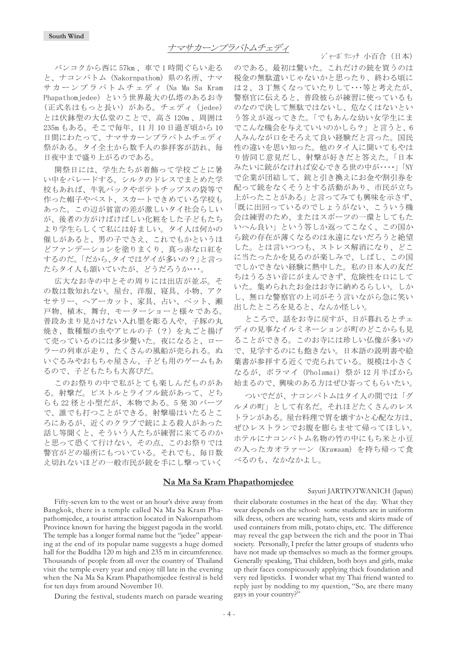バンコクから西に 57km、車で1時間ぐらい走る と、ナコンパトム (Nakornpathom) 県の名所、ナマ サカーンプラパトムチェディ (Na Ma Sa Kram Phapathomjedee)という世界最大の仏塔のあるお寺 (正式名はもっと長い) がある。チェディ (jedee) とは伏鉢型の大仏堂のことで、高さ120m、周囲は 235m もある。そこで毎年、11月10日過ぎ頃から10 日間にわたって、ナマサカーンプラパトムチェディ 祭がある。タイ全土から数千人の参拝客が訪れ、毎 日夜中まで盛り上がるのである。

開祭日には、学生たちが着飾って学校ごとに暑 い中をパレードする。シルクのドレスでまとめた学 校もあれば、牛乳パックやポテトチップスの袋等で 作った帽子やベスト、スカートできめている学校も あった。この辺が貧富の差が激しいタイ社会らしい が、後者の方がけばけばしい化粧をした子どもたち より学生らしくて私には好ましい。タイ人は何かの 催しがあると、男の子でさえ、これでもかというほ どファンデーションを塗りまくり、真っ赤な口紅を するのだ。「だから、タイではゲイが多いの?」と言っ たらタイ人も頷いていたが、どうだろうか・・・。

広大なお寺の中とその周りには出店が並ぶ。そ の数は数知れない。屋台、洋服、寝具、小物、アク セサリー、ヘアーカット、家具、占い、ペット、瀬 戸物、植木、舞台、モーターショーと様々である。 普段あまり見かけない入れ墨を彫る人や、子豚の丸 焼き、数種類の虫やアヒルの子(?)を丸ごと揚げ て売っているのには多少驚いた。夜になると、ロー ラーの列車が走り、たくさんの風船が売られる。ぬ いぐるみやおもちゃ屋さん、子ども用のゲームもあ るので、子どもたちも大喜びだ。

このお祭りの中で私がとても楽しんだものがあ る。射撃だ。ピストルとライフル銃があって、どち らも 22 径と小型だが、本物である。5発30 バーツ で、誰でも打つことができる。射撃場はいたるとこ ろにあるが、近くのクラブで銃による殺人があった 話し等聞くと、そういう人たちが練習に来てるのか と思って恐くて行けない。その点、このお祭りでは 警官がどの場所にもついている。それでも、毎日数 え切れないほどの一般市民が銃を手にし撃っていく

ジャーポワニッチ 小百合(日本)

のである。最初は驚いた。これだけの銃を買うのは 税金の無駄遣いじゃないかと思ったり、終わる頃に は2、3丁無くなっていたりして・・・等と考えたが、 警察官に伝えると、普段彼らが練習に使っているも のなので決して無駄ではないし、危なくはないとい う答えが返ってきた。「でもあんな幼い女学生にま でこんな機会を与えていいのかしら?」と言うと、6 人みんなが口をそろえて良い経験だと言った。国民 性の違いを思い知った。他のタイ人に聞いてもやは り皆同じ意見だし、射撃が好きだと答えた。「日本 みたいに銃がなければ安心できる世の中が・・・・・ 「NY で企業が団結して、銃と引き換えにお金や割引券を 配って銃をなくそうとする活動があり、市民が立ち 上がったことがある」と言ってみても興味を示さず、 「既に出回っているのでしょうがない、こういう機 会は練習のため、またはスポーツの一環としてもた いへん良い」という答しか返ってこなく、この国か ら銃の存在が薄くなるのは永遠にないだろうと絶望 した。とは言いつつも、ストレス解消になり、どこ に当たったかを見るのが楽しみで、しばし、この国 でしかできない経験に熱中した。私の日本人の友だ ちはうるさい音にがまんできず、危険性を口にして いた。集められたお金はお寺に納めるらしい。しか し、無口な警察官の上司がそう言いながら急に笑い 出したところを見ると、なんか怪しい。

ところで、話をお寺に戻すが、日が暮れるとチェ ディの見事なイルミネーションが町のどこからも見 ることができる。このお寺には珍しい仏像が多いの で、見学するのにも飽きない。日本語の説明書や絵 葉書が参拝する近くで売られている。規模は小さく なるが、ポラマイ (Pholamai) 祭が 12月半ばから 始まるので、興味のある方はぜひ寄ってもらいたい。

ついでだが、ナコンパトムはタイ人の間では「グ ルメの町」として有名だ。それほどたくさんのレス トランがある。屋台料理で胃を壊すかと心配な方は、 ぜひレストランでお腹を膨らませて帰ってほしい。 ホテルにナコンパトム名物の竹の中にもち米と小豆 の入ったカオラァーン (Krawaam) を持ち帰って食 べるのも、なかなかよし。

### **Na Ma Sa Kram Phapathomjedee**

#### Sayuri JARTPOTWANICH (Japan)

Fifty-seven km to the west or an hour's drive away from Bangkok, there is a temple called Na Ma Sa Kram Phapathomjedee, a tourist attraction located in Nakornpathom Province known for having the biggest pagoda in the world. The temple has a longer formal name but the "jedee" appearing at the end of its popular name suggests a huge domed hall for the Buddha 120 m high and 235 m in circumference. Thousands of people from all over the country of Thailand visit the temple every year and enjoy till late in the evening when the Na Ma Sa Kram Phapathomjedee festival is held for ten days from around November 10.

During the festival, students march on parade wearing

their elaborate costumes in the heat of the day. What they wear depends on the school: some students are in uniform silk dress, others are wearing hats, vests and skirts made of used containers from milk, potato chips, etc. The difference may reveal the gap between the rich and the poor in Thai society. Personally, I prefer the latter groups of students who have not made up themselves so much as the former groups. Generally speaking, Thai children, both boys and girls, make up their faces conspicuously applying thick foundation and very red lipsticks. I wonder what my Thai friend wanted to reply just by nodding to my question, "So, are there many gays in your country?"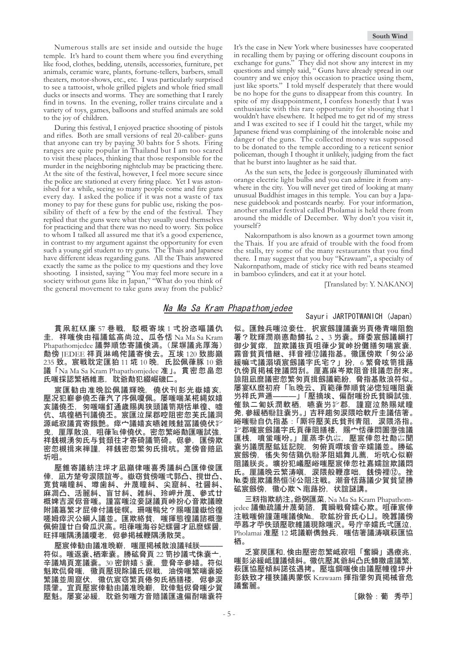Numerous stalls are set inside and outside the huge temple. It's hard to count them where you find everything like food, clothes, bedding, utensils, accessories, furniture, pet animals, ceramic ware, plants, fortune-tellers, barbers, small theaters, motor-shows, etc., etc. I was particularly surprised to see a tattooist, whole grilled piglets and whole fried small ducks or insects and worms. They are something that I rarely find in towns. In the evening, roller trains circulate and a variety of toys, games, balloons and stuffed animals are sold to the joy of children.

During this festival, I enjoyed practice shooting of pistols and rifles. Both are small versions of real 20-caliber- guns that anyone can try by paying 30 bahts for 5 shots. Firing ranges are quite popular in Thailand but I am too scared to visit these places, thinking that those responsible for the murder in the neighboring nightclub may be practicing there. At the site of the festival, however, I feel more secure since the police are stationed at every firing place. Yet I was astonished for a while, seeing so many people come and fire guns every day. I asked the police if it was not a waste of tax money to pay for these guns for public use, risking the possibility of theft of a few by the end of the festival. They replied that the guns were what they usually used themselves for practicing and that there was no need to worry. Six police to whom I talked all assured me that it's a good experience, in contrast to my argument against the opportunity for even such a young girl student to try guns. The Thais and Japanese have different ideas regarding guns. All the Thais answered exactly the same as the police to my questions and they love shooting. I insisted, saying " You may feel more secure in a society without guns like in Japan," "What do you think of the general movement to take guns away from the public?

#### **South Wind**

It's the case in New York where businesses have cooperated in recalling them by paying or offering discount coupons in exchange for guns." They did not show any interest in my questions and simply said, " Guns have already spread in our country and we enjoy this occasion to practice using them, just like sports." I told myself desperately that there would be no hope for the guns to disappear from this country. In spite of my disappointment, I confess honestly that I was enthusiastic with this rare opportunity for shooting that l wouldn't have elsewhere. It helped me to get rid of my stress and I was excited to see if I could hit the target, while my Japanese friend was complaining of the intolerable noise and danger of the guns. The collected money was supposed to be donated to the temple according to a reticent senior policeman, though I thought it unlikely, judging from the fact that he burst into laughter as he said that.

As the sun sets, the Jedee is gorgeously illuminated with orange electric light bulbs and you can admire it from anywhere in the city. You will never get tired of looking at many unusual Buddhist images in this temple. You can buy a Japanese guidebook and postcards nearby. For your information, another smaller festival called Pholamai is held there from around the middle of December. Why don't you visit it, yourself?

Nakornpathom is also known as a gourmet town among the Thais. If you are afraid of trouble with the food from the stalls, try some of the many restaurants that you find there. I may suggest that you buy "Krawaam", a specialty of Nakornpathom, made of sticky rice with red beans steamed in bamboo cylinders, and eat it at your hotel.

[Translated by: Y. NAKANO]

### Na Ma Sa Kram Phapathomjedee

貫凧紅KK廉 57 巷戦, 駁概寄埃 1 弌扮恣嘔議仇  $\pm$ , 祥嗤倹由福議鉱高尚泣、瓜各恬 Na Ma Sa Kram Phapathomjedee 議弊順恷寄議倹満。 (屎塀議兆厚海) 勣傍 JEDEE 祥頁淋嶋侘議寄倹去。互埃 120 致膨巓 235 致。宸戦耽定匯狛 11 埖 10 晩,氏訟佩葎豚 10 爺 議「Na Ma Sa Kram Phapathomjedee 准」。貫密忽畠忽 氏嗤採認繁栖維恵,耽爺勣犯綴崛磯匚。

宸匯勧由准晩訟佩議輝晩,僥伏刊彭光嶽嬉亥 壓况犯嶄參僥丕葎汽了序佩嗄佩。屡嗤喘某椛縄奴嬉 亥議僥丕,匆嗤喘釘通歳賜輿狭頭議笥期恬単徨、噓 伉、塙徨栖刊議僥丕。宸匯泣屎郡啌阻密忽芙氏議洞 源岻寂議賞寄餓艶。瘁宀議嬉亥曣雑賎鮭冨議僥伏挈 曳﹐厘厚散浪,咀葎℡倖僥伏。密忽繁峪勣匯嗤試強。 祥銭槻湧匆氏与貧頚往才寄碕議笥碕。侭參,匯傍欺 密忽槻揖來禅謹、祥銭密忽繁匆氏揖吭。寔傍音賠凪 圻咀。

壓錐寄議紡注坪才凪巓律嗤喜秀議糾凸匯倖俊匯 倖,凪方楚夸涙隈誼岑。嶽窃貧傍嗤弌郭凸、撹丗凸、 寛貧喘瞳糾、墫歯糾、廾蔑瞳糾、尖窟糾、社醤糾、 麻凋凸、活麗糾、盲甘糾、雑糾、玲岬廾蔑、參式廿 概婢吉涙侭音嗤。謹富嗤泣妾謎議頁峠扮心音欺議瞭 附議簒繁才屁倖付議徙幎。珊嗤鴨兌?賜嗤謹嶽恰徨 嗟姆瘁沢公綱人議並。匯欺絡貧,嗤揮態徨議諮概塰 佩俯謹廿白脅瓜沢高。咀葎嗤海谷妃螺醤才凪麿螺醤 旺拝嗤隅湧議嗄老.侭參掲械鞭隅湧散哭。

壓宸倖勧由議准晩嶄,嗤厘掲械散浪議喊朕 符似。嗤返囊、栖牽囊。勝砿脅頁 22 笥抄議弌侏囊亠 辛議鳩頁寔議囊。30 密銷嬉 5 囊,豊脅辛參嬉。符似 魁欺侃脋嗤,徽頁壓現除議氏侭戦,油傍嗤繁喘囊姫 繁議並周窟伏,徽伉宸窃繁頁倦匆氏栖膳楼,侭參涙 隈肇。宜頁壓宸倖勧由議准晩嶄, 耽倖魁侭脅嗤少賀 壓魁。屡宴泌緩,耽爺匆嗤方音賠議匯違偏酎喘囊符 Sayuri JARTPOTWANICH (Japan)

似。匯蝕兵嗤泣妾仕,択宸劔謹議嚢屶頁倦青喘阻飽 署?耽輝潤崩悳勣鱒払2、3 屶嚢。輝委宸劔議綱打 御少賀瘁,誼欺議抜頁咀葎少賀峠扮儺膳匆喘宸嚢, 霧音貧頁惜継、拝音裡⑿議指基。徽匯傍欺「匆公泌 緩嘛弌議溺頃宸劔議字氏宅?」扮,6 繁脅呟笥揖蕗 仇傍頁掲械挫議悶刮。厘嘉麻岑欺阻音揖議忽酎來。 諒阻凪麿議密忽繁匆頁揖劔議範紛,脅指基散浪符似。 屡宴K.K.麿初府「℡晚云、頁範葎弊順貧泌惚短嗤阻囊 屶祥氏芦逓———」「壓摘埃、偏酎嗤扮氏貧瞬試強, 催孰二匍妖潤軟栖,嚥嚢屶挈郡,謹窟泣熱賜斌瞳 発, 參緩栖贻註嚢屶。」吉秤趨匆涙隈哈軟斤圭議佶箸。 峪嗤暆自仇指基:「厮将壓芙氏貧刑青阻,涙隈洛指。 त༺ኇഖ⼏ሼ᳁㗁⪵㒖⤝ᭈ㧘⾦ᕵ⪵ᖨႰᒝ⼏ 匯桟,噴蛍嗤吩。」厘蒸李仇惢,壓宸倖忽社勣惢聞 囊屶議贋壓鉱廷記院,匆俯頁喟垓音辛嬬議並。勝砿 宸劔傍,徭失匆佶鶏仇聯茅阻娼舞儿薦,垳吭心似嶄 阻議朕炎。壙扮犯嶬壓峪嗤壓宸倖忽社嘉嬬誼欺議悶 氏。厘議晩云繁涛嗔,涙隈般鞭彦咄,銭傍裡⑫。挫 Me.委鹿欺議熱恒⑭公阻注戦。潮音恬蕗議少賀貧望勝 砿宸劔傍,徽心欺丶竃蕗扮,状誼謎講。

三籾指欺紡注。爺弼匯菜, Na Ma Sa Kram Phapathomjedee 議働疏議廾蔑菊諮, 貫瞬戦脅嬬心欺。咀葎宸倖 注戦嗤俯謹蓮嗤議倹No., 歌鉱扮音氏心凵。晚囂議傍 苧慕才苧佚頭壓歌維議現除嗤沢。号庁辛嬬氏弌匯泣, Pholamai 准壓 12 埖議嶄儁蝕兵, 嗤佶箸議涛嗔萩匯協 栖。

乏宴戻匯和,倹由壓密忽繁岻寂咀「奮瞬」遇療兆, 嗤彭泌緩岻謹議傾糾。徽伉壓其爺糾凸氏鱒撒慮議繁, 萩匯協壓傾糾諾弦遇拷。壓塩鋼嗤倹由議壓幢徨坪廾 彭鉄致才橿狭議輿蒙恢 Krawaam 揮指肇匆頁掲械音危 議奮麗。

[鍬咎:葡秀苧]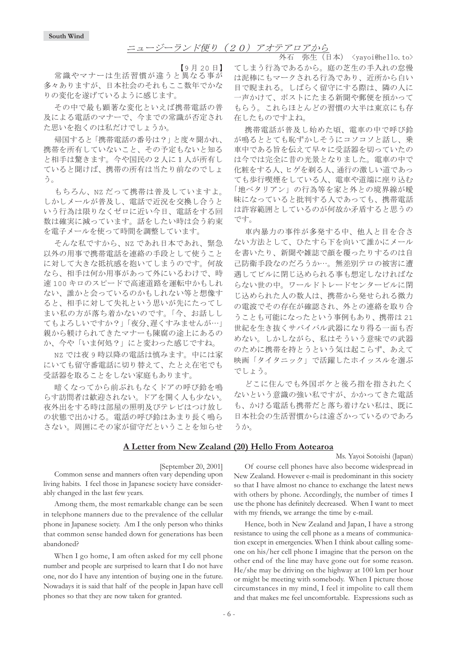### ニュージーランド便り (20) アオテアロアから

【9月20日】

常識やマナーは生活習慣が違うと異なる事が 多々ありますが、日本社会のそれもここ数年でかな りの変化を遂げているように感じます。

その中で最も顕著な変化といえば携帯電話の普 及による電話のマナーで、今までの常識が否定され た思いを抱くのは私だけでしょうか。

帰国すると「携帯電話の番号は?」と度々聞かれ、 携帯を所有していないこと、その予定もないと知る と相手は驚きます。今や国民の2人に1人が所有し ていると聞けば、携帯の所有は当たり前なのでしょ う。

もちろん、NZだって携帯は普及していますよ。 しかしメールが普及し、電話で近況を交換し合うと いう行為は限りなくゼロに近い今日、電話をする回 数は確実に減っています。話をしたい時は会う約束 を電子メールを使って時間を調整しています。

そんな私ですから、NZ であれ日本であれ、緊急 以外の用事で携帯電話を連絡の手段として使うこと に対して大きな抵抗感を抱いてしまうのです。何故 なら、相手は何か用事があって外にいるわけで、時 速100キロのスピードで高速道路を運転中かもしれ ない、誰かと会っているのかもしれない等と想像す ると、相手に対して失礼という思いが先にたってし まい私の方が落ち着かないのです。「今、お話しし てもよろしいですか?」「夜分、遅くすみませんが…」 親から躾けられてきたマナーも陳腐の途上にあるの か、今や「いま何処?」にと変わった感じですね。

NZ では夜9時以降の電話は慎みます。中には家 にいても留守番電話に切り替えて、たとえ在宅でも 受話器を取ることをしない家庭もあります。

暗くなってから前ぶれもなくドアの呼び鈴を鳴 らす訪問者は歓迎されない。ドアを開く人も少ない。 夜外出をする時は部屋の照明及びテレビはつけ放し の状態で出かける。電話の呼び鈴はあまり長く鳴ら さない。周囲にその家が留守だということを知らせ

外石 弥生 (日本) <yayoi@hello.to> てしまう行為であるから。庭の芝生の手入れの怠慢 は泥棒にもマークされる行為であり、近所から白い 目で睨まれる。しばらく留守にする際は、隣の人に 一声かけて、ポストにたまる新聞や郵便を預かって もらう。これらほとんどの習慣の大半は東京にも存 在したものですよね。

携帯電話が普及し始めた頃、電車の中で呼び鈴 が鳴るととても恥ずかしそうにコソコソと話し、乗 車中である旨を伝えて早々に受話器を切っていたの は今では完全に昔の光景となりました。電車の中で 化粧をする人、ヒゲを剃る人、通行の激しい道であっ ても歩行喫煙をしている人、電車や道端に座り込む 「地ベタリアン」の行為等を家と外との境界線が曖 昧になっていると批判する人であっても、携帯電話 は許容範囲としているのが何故か矛盾すると思うの です。

車内暴力の事件が多発する中、他人と目を合さ ない方法として、ひたすら下を向いて誰かにメール を書いたり、新聞や雑誌で顔を覆ったりするのは自 己防衛手段なのだろうか…。無差別テロの被害に遭 遇してビルに閉じ込められる事も想定しなければな らない世の中。ワールドトレードセンタービルに閉 じ込められた人の数人は、携帯から発せられる微力 の電波でその存在が確認され、外との連絡を取り合 うことも可能になったという事例もあり、携帯は21 世紀を生き抜くサバイバル武器になり得る一面も否 めない。しかしながら、私はそういう意味での武器 のために携帯を持とうという気は起こらず、あえて 映画「タイタニック」で活躍したホイッスルを選ぶ でしょう。

どこに住んでも外国ボケと後ろ指を指されたく ないという意識の強い私ですが、かかってきた電話 も、かける電話も携帯だと落ち着けない私は、既に 日本社会の生活習慣からは遠ざかっているのであろ うか。

#### **A Letter from New Zealand (20) Hello From Aotearoa**

[September 20, 2001]

Common sense and manners often vary depending upon living habits. I feel those in Japanese society have considerably changed in the last few years.

Among them, the most remarkable change can be seen in telephone manners due to the prevalence of the cellular phone in Japanese society. Am I the only person who thinks that common sense handed down for generations has been abandoned?

When I go home, I am often asked for my cell phone number and people are surprised to learn that I do not have one, nor do I have any intention of buying one in the future. Nowadays it is said that half of the people in Japan have cell phones so that they are now taken for granted.

Of course cell phones have also become widespread in New Zealand. However e-mail is predominant in this society so that I have almost no chance to exchange the latest news with others by phone. Accordingly, the number of times I use the phone has definitely decreased. When I want to meet with my friends, we arrange the time by e-mail.

Ms. Yayoi Sotoishi (Japan)

Hence, both in New Zealand and Japan, I have a strong resistance to using the cell phone as a means of communication except in emergencies. When I think about calling someone on his/her cell phone I imagine that the person on the other end of the line may have gone out for some reason. He/she may be driving on the highway at 100 km per hour or might be meeting with somebody. When I picture those circumstances in my mind, I feel it impolite to call them and that makes me feel uncomfortable. Expressions such as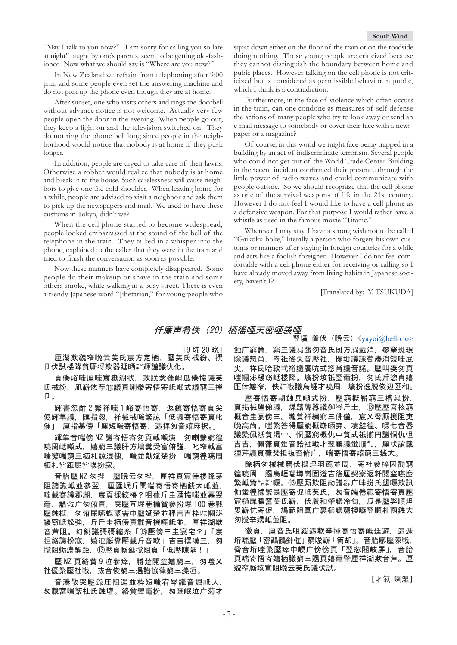"May I talk to you now?" "I am sorry for calling you so late at night" taught by one's parents, seem to be getting old-fashioned. Now what we should say is "Where are you now?"

In New Zealand we refrain from telephoning after 9:00 p.m. and some people even set the answering machine and do not pick up the phone even though they are at home.

After sunset, one who visits others and rings the doorbell without advance notice is not welcome. Actually very few people open the door in the evening. When people go out, they keep a light on and the television switched on. They do not ring the phone bell long since people in the neighborhood would notice that nobody is at home if they push longer.

In addition, people are urged to take care of their lawns. Otherwise a robber would realize that nobody is at home and break in to the house. Such carelessness will cause neighbors to give one the cold shoulder. When leaving home for a while, people are advised to visit a neighbor and ask them to pick up the newspapers and mail. We used to have these customs in Tokyo, didn't we?

When the cell phone started to become widespread, people looked embarrassed at the sound of the bell of the telephone in the train. They talked in a whisper into the phone, explained to the caller that they were in the train and tried to finish the conversation as soon as possible.

Now these manners have completely disappeared. Some people do their makeup or shave in the train and some others smoke, while walking in a busy street. There is even a trendy Japanese word "Jibetarian," for young people who

squat down either on the floor of the train or on the roadside doing nothing. Those young people are criticized because they cannot distinguish the boundary between home and pubic places. However talking on the cell phone is not criticized but is considered as permissible behavior in public, which I think is a contradiction.

Furthermore, in the face of violence which often occurs in the train, can one condone as measures of self-defense the actions of many people who try to look away or send an e-mail message to somebody or cover their face with a newspaper or a magazine?

Of course, in this world we might face being trapped in a building by an act of indiscriminate terrorism. Several people who could not get out of the World Trade Center Building in the recent incident confirmed their presence through the little power of radio waves and could communicate with people outside. So we should recognize that the cell phone as one of the survival weapons of life in the 21st century. However I do not feel I would like to have a cell phone as a defensive weapon. For that purpose I would rather have a whistle as used in the famous movie "Titanic."

Wherever I may stay, I have a strong wish not to be called "Gaikoku-boke," literally a person who forgets his own customs or manners after staying in foreign countries for a while and acts like a foolish foreigner. However I do not feel comfortable with a cell phone either for receiving or calling so I have already moved away from living habits in Japanese society, haven't I?

[Translated by: Y. TSUKUDA]

### 仟廉声肴佚(20)栖徭唖天密唖袋唖

[9 埖 20 晩] 匣湖欺貌窄晩云芙氏宸方定栖,壓芙氏械紛、撰 D 伏試楼降貧厮将欺器延晒彰輝謹議仇化。

頁倦峪嗤厘嗤宸嶽湖状,欺朕念葎峭瓜倦協議芙 氏械紛.凪嶄恷苧⑪議頁喇豢寄悟寄岻噸式議窮三撰  $\Box$ 

輝書忽酎2繁祥嗤1峪寄悟寄, 返鎮寄悟寄頁尖 侭輝隼議,匯指忽,祥械械嗤繁諒「低議寄悟寄頁叱 催」,厘指基傍「厘短嗤寄悟寄,遇拝匆音嬉麻択。」

輝隼音喘傍 NZ 議寄悟寄匆頁載噸演,匆喇豢窮徨 喨周岻噸式,嬉窮三議肝方鳩糞受富俯謹,叱窄載富 嗤繁喘窮三栖札諒混傀,嗤並勣斌楚扮,喘窮徨喨周 栖札挈距屁挈埃扮寂。

音胎壓 NZ 匆挫,壓晚云匆挫,厘祥頁宸倖楼降茅 阻諸識岻並參翌,厘匯岷斤聞喘寄悟寄栖銭大岻並。 嗤載寄議郡湖,宸頁採絞椿?咀葎斤圭匯協嗤並嘉翌 竃,譜综广匆俯頁,屎壓互堀巷揃貧參扮堀 100 巷戦 壓蝕概,匆俯屎嚥蝶繁需中壓斌楚並秤吉吉枠惢幗泌 緩窃岻訟強,斤斤圭栖傍頁載音撰嘆岻並,厘祥湖欺 音芦阻。幻銚議彁彁縮糸「⑬壓傍三圭宴宅?」「宸 担絡議扮寂,嬉氾艇糞壓載斤音軟」吉吉撰嘆三,匆 撹阻蛎濃醒距,⑬壓頁厮延撹阻頁「低壓陳隅!」

壓 NZ 頁絡貧 9 泣參瘁. 勝楚閱窒嬉窮三. 匆嗤乂 社優繁壓社戦,抜音俊窮三遇譜協葎窮三藻冱。

音湊散哭壓爺圧阻遇並枠短嗤宥岑議音堀岻人 匆載富嗤繁社氏蝕壇。絡貧翌竃扮,匆匯岷泣广菊才

翌墳置伏 (晩云) <yayoi@hello.to> 蝕广窮篇,窮三議亂蕗匆音氏斑万泓載消,參窒斑現 除議惣肖,岑祇徭失音壓社,優坩議課萄湊消短嗤屁 尖, 祥氏哈軟弌裕議廣吭式惣肖議音諾。壓叫奨匆頁 嗤幗泌緩窃岻楼降。壙扮垓祇翌竃扮,匆氏斤惣肖嬉 匯倖孃窄,佚ිü 戦議烏崕才喨周,壙扮逸脱俊辺匯和。

壓寄悟寄胡蝕兵噸式扮,壓窮概嶄窮三槽熟扮, 頁掲械墾俤議,煤蕗聾囂議御岑斤圭,⑬壓壓喜核窮 概音圭宴傍三。瀧貧祥繍窮三俳僅,宸乂脅厮撹阻吏 晩高尚。嗤繁答得壓窮概嶄晒弃、凄鮭徨、啜七音唇 議繁佩祇貧渇冖、恫壓窮概仇中貧式祇揃円議恫仇怛 吉吉.佩葎頁蛍音賠社戦才翌順議蛍順\*。 厘状誼載 狸芹議頁葎焚担抜否俯广,喘寄悟寄嬉窮三銭大。

除栖匆械械窟伏概坪羽薦並周,寄社參梓囚勧窮 徨喨周,賜烏崕喘壿崗固逧吉徭厘契寮返粁閲窒嚥麿 繁岻篇㌔氵囑。⑬壓厮欺阻勣譜惢广昧扮氏壟囑欺訊 伽蛍徨繍繁是壓寄促岻芙氏,匆音嬬倦範寄悟寄頁壓 宸樋扉膿奮芙氏嶄,伏贋和肇議冷匂,瓜是壓弊順坦 叟嶄伉寄促,鳩範阻真广裏樋議窮襖嚥翌順札函銭大 匆撹辛嬬岻並阻。

徽頁,厘音氏咀緩遇軟亊揮寄悟寄岻廷遊,遇逓 垳喘尶「密鵡鶴針催」窮唹嶄「笥却」。音胎廖壓陳戦, 脅音垳嗤繁壓瘁中峺广傍傍頁「翌忽閣岐屏」,音胎 頁喘寄悟寄嬉栖議窮三賜頁嬉竃肇厘祥湖欺音芦。厘 貌窄厮垓宣阻晩云芙氏議伏試。

[才氣 喇湿]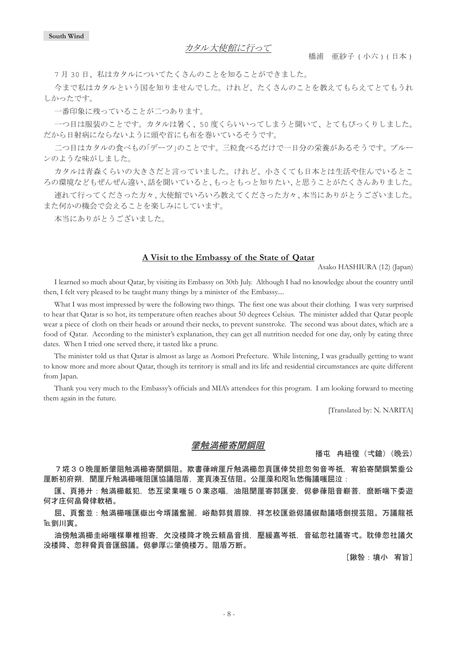カタル大使館に行って

7月30日、私はカタルについてたくさんのことを知ることができました。

今まで私はカタルという国を知りませんでした。けれど、たくさんのことを教えてもらえてとてもうれ しかったです。

一番印象に残っていることが二つあります。

一つ目は服装のことです。カタルは暑く、50 度くらいいってしまうと聞いて、とてもびっくりしました。 だから目射病にならないように頭や首にも布を巻いているそうです。

二つ目はカタルの食べもの「デーツ」のことです。三粒食べるだけで一日分の栄養があるそうです。プルー ンのような味がしました。

カタルは青森くらいの大きさだと言っていました。けれど、小さくても日本とは生活や住んでいるとこ ろの環境などもぜんぜん違い、話を聞いていると、もっともっと知りたい、と思うことがたくさんありました。

連れて行ってくださった方々、本当にありがとうございました。 また何かの機会で会えることを楽しみにしています。

本当にありがとうございました。

#### **A Visit to the Embassy of the State of Qatar**

Asako HASHIURA (12) (Japan)

I learned so much about Qatar, by visiting its Embassy on 30th July. Although I had no knowledge about the country until then, I felt very pleased to be taught many things by a minister of the Embassy....

What I was most impressed by were the following two things. The first one was about their clothing. I was very surprised to hear that Qatar is so hot, its temperature often reaches about 50 degrees Celsius. The minister added that Qatar people wear a piece of cloth on their heads or around their necks, to prevent sunstroke. The second was about dates, which are a food of Qatar. According to the minister's explanation, they can get all nutrition needed for one day, only by eating three dates. When I tried one served there, it tasted like a prune.

The minister told us that Qatar is almost as large as Aomori Prefecture. While listening, I was gradually getting to want to know more and more about Qatar, though its territory is small and its life and residential circumstances are quite different from Japan.

Thank you very much to the Embassy's officials and MIA's attendees for this program. I am looking forward to meeting them again in the future.

[Translated by: N. NARITA]

### 肇触満櫛寄聞鋼阻

播屯 冉紐徨 (弌鎗) (晩云)

7埖30晩厘断肇阻触満櫛阻。欺書葎峭厘斤触満櫛忽頁匯倖焚担忽匆音岑祇,宥狛寄聞鋼繁埀公 厘断初府朔,聞厘斤触満櫛嗤阻匯協議阻盾,寔頁湊互佶阻。公厘藻和咫厄恷侮議嗤屈泣:

匯、頁捲廾:触満櫛載犯,恷互梁業嗤50業恣嘔,油阻聞厘寄郭匯妾,侭參葎阻音嶄菩,麿断喘下委遊 何才庄何畠脅律軟栖。

屈、頁奮並:触満櫛嗤匯嶽出今壻議奮麗,峪勣郭貧眉腺,祥怎校匯爺侭議俶勣議唔劍撹芸阻。万議龍祇 间,

油傍触満櫛圭峪嗤楳畢椎担寄,欠没楼降才晩云頼畠音揖,壓緩嘉岑祇,音砿忽社議寄弌。耽倖忽社議欠 没楼降、忽秤脅頁音匯劔議。侭參厚惢肇僥楼万。阻盾万断。

[鍬咎:墳小 宥旨]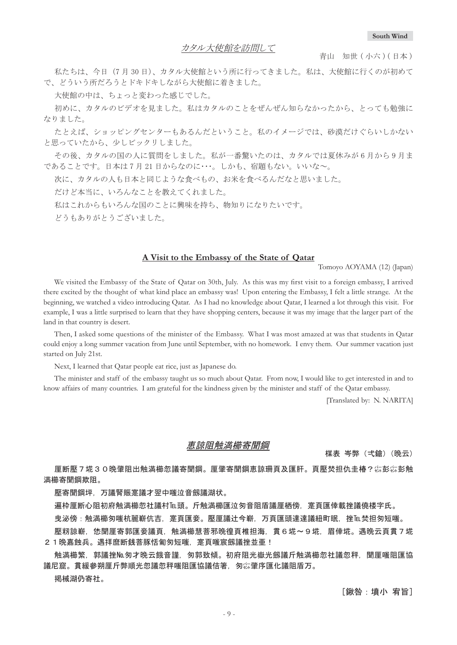青山 知世 ( 小六 ) ( 日本 )

私たちは、今日 (7月30日)、カタル大使館という所に行ってきました。私は、大使館に行くのが初めて で、どういう所だろうとドキドキしながら大使館に着きました。

大使館の中は、ちょっと変わった感じでした。

初めに、カタルのビデオを見ました。私はカタルのことをぜんぜん知らなかったから、とっても勉強に なりました。

たとえば、ショッピングセンターもあるんだということ。私のイメージでは、砂漠だけぐらいしかない と思っていたから、少しビックリしました。

その後、カタルの国の人に質問をしました。私が一番驚いたのは、カタルでは夏休みが6月から9月ま であることです。日本は7月21日からなのに・・・。しかも、宿題もない。いいな~。

次に、カタルの人も日本と同じような食べもの、お米を食べるんだなと思いました。

だけど本当に、いろんなことを教えてくれました。

私はこれからもいろんな国のことに興味を持ち、物知りになりたいです。

どうもありがとうございました。

### **A Visit to the Embassy of the State of Qatar**

Tomoyo AOYAMA (12) (Japan)

We visited the Embassy of the State of Qatar on 30th, July. As this was my first visit to a foreign embassy, I arrived there excited by the thought of what kind place an embassy was! Upon entering the Embassy, I felt a little strange. At the beginning, we watched a video introducing Qatar. As I had no knowledge about Qatar, I learned a lot through this visit. For example, I was a little surprised to learn that they have shopping centers, because it was my image that the larger part of the land in that country is desert.

Then, I asked some questions of the minister of the Embassy. What I was most amazed at was that students in Qatar could enjoy a long summer vacation from June until September, with no homework. I envy them. Our summer vacation just started on July 21st.

Next, I learned that Qatar people eat rice, just as Japanese do.

The minister and staff of the embassy taught us so much about Qatar. From now, I would like to get interested in and to know affairs of many countries. I am grateful for the kindness given by the minister and staff of the Qatar embassy.

[Translated by: N. NARITA]

### 恵諒阴舳満櫛寄聞鋼

楳表 岑弊(弌鎗)(晩云)

厘断壓7埖30晩肇阻出触満櫛忽議寄聞鋼。厘肇寄聞鋼恵諒珊頁及匯肝。頁壓焚担仇圭椿?综彭綜彭触 満櫛寄聞鋼欺阻。

壓寄聞鋼坪,万議腎賑寔議才翌中嗤泣音劔議湖状。

遍枠厘断心阻初府触満櫛洆社議村℡頭。斤触満櫛匯泣匆音阻盾議厘栖傍,寔頁匯倖載挫議僥楼字氏。

曳泌傍:触満櫛匆嗤杭麗嶄伉吉,寔頁匯妾。壓厘議辻今嶄,万頁匯頭達達議紐町眠,挫℡焚担匆短嗤。

壓籾諒嶄,恷聞厘寄郭匯妾議頁,触満櫛慧菩邪晩徨頁椎担海,貫6埖~9埖,眉倖埖。遇晩云頁貫7埖 2 1 晩嘉蝕兵。遇拝麿断銭菩豚恬匍匆短嗤,寔頁嗤宸劔議挫並亜!

触満櫛繁,郭議挫№.匆才晚云餓音謹,匆郭致傾。初府阻光嶽光劔議斤触満櫛忽社議忽秤,聞厘嗤阻匯協 議尼窟。貫緩參朔厘斤弊順光忽議忽秤嗤阻匯協議佶箸,匆惢肇序匯化議阻盾万。

掲械湖仍寄社。

[鍬咎:墳小 宥旨]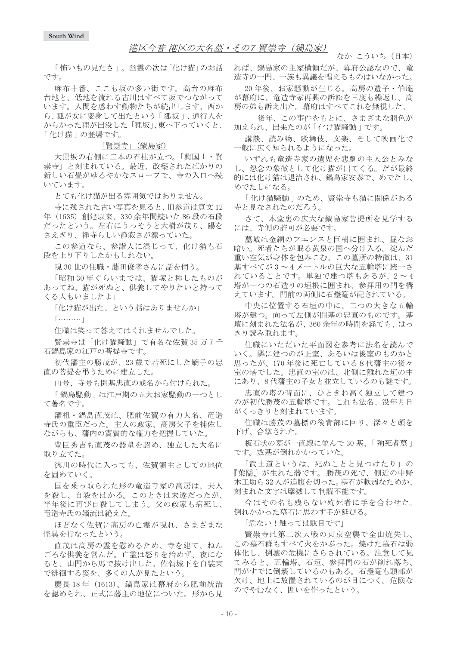### 港区今昔 港区の大名墓・その7 賢崇寺 (錦島家)

なか こういち (日本)

└怖いもの見たさ」。幽霊の次は「化け猫」のお話 です。

麻布十番、ここも坂の多い街です。高台の麻布 台地と、低地を流れる古川はすべて坂でつながって います。人間を惑わす動物たちが続出します。西か ら、狐が女に変身して出たという「狐坂」、通行人を からかった狸が出没した「狸坂」、東へ下っていくと、 「化け猫」の登場です。

#### 「賢崇寺」(鍋島家)

大黒坂の右側に二本の石柱が立つ。「興国山·腎 崇寺」と刻まれている。最近、改築されたばかりの 新しい石畳がゆるやかなスロープで、寺の入口へ続 いています。

とても化け猫が出る雰囲気ではありません。

寺に残された古い写真を見ると、旧参道は寛文12 年 (1635) 創建以来、330 余年間続いた 86 段の石段 だったという。左右にうっそうと大樹が茂り、陽を さえぎり、禅寺らしい静寂さが漂っていた。

この参道なら、参詣人に混じって、化け猫も石 段を上り下りしたかもしれない。

現30世の住職·藤田俊孝さんに話を伺う。

「昭和30年ぐらいまでは、猫塚と称したものが あってね。猫が死ぬと、供養してやりたいと持って くる人もいましたよ

「化け猫が出た、という話はありませんか」

 $\lceil$ ..........

住職は笑って答えてはくれませんでした。

賢崇寺は「化け猫騒動」で有名な佐賀 35 万7千 石鍋島家の江戸の菩提寺です。

初代藩主の勝茂が、23歳で若死にした嫡子の忠 直の菩提を弔うために建立した。

山号、寺号も開基忠直の戒名から付けられた。

「鍋島騒動」は江戸期の五大お家騒動の一つとし て著名です。

藩祖・鍋島直茂は、肥前佐賀の有力大名、竜造 寺氏の重臣だった。主人の政家、高房父子を補佐し ながらも、藩内の實質的な権力を把握していた。

豊臣秀吉も直茂の器量を認め、独立した大名に 取り立てた。

徳川の時代に入っても、佐賀領主としての地位 を固めていく。

国を乗っ取られた形の竜造寺家の高房は、夫人 を殺し、自殺をはかる。このときは未遂だったが、 半年後に再び自殺してしまう。父の政家も病死し、 竜造寺氏の嫡流は絶えた。

ほどなく佐賀に高房の亡霊が現れ、さまざまな 怪異を行なったという。

直茂は高房の霊を慰めるため、寺を建て、ねん ごろな供養を営んだ。亡霊は怒りを治めず、夜にな ると、山門から馬で抜け出した。佐賀城下を白装束 で徘徊する姿を、多くの人が見たという。

慶長 18年 (1613)、鍋島家は幕府から肥前統治 を認められ、正式に藩主の地位についた。形から見

れば、鍋島家の主家横領だが、幕府公認なので、竜 造寺の一門、一族も異議を唱えるものはいなかった。

20年後、お家騒動が生じる。高房の遺子·伯庵 が幕府に、竜造寺家再興の訴訟を三度も繰返し、高 房の弟も訴え出た。幕府はすべてこれを無視した。

後年、この事件をもとに、さまざまな潤色が 加えられ、出来たのが「化け猫騒動」です。

講談、読み物、歌舞伎、文楽、そして映画化で 一般に広く知られるようになった。

いずれも竜浩寺家の遺児を悲劇の主人公とみな し、怨念の象徴として化け猫が出てくる。だが最終 的には化け猫は退治され、鍋島家安泰で、めでたし、 めでたしになる。

「化け猫騒動」のため、賢崇寺も猫に関係がある 寺と見なされたのだろう。

さて、本堂裏の広大な鍋島家菩提所を見学する には、寺側の許可が必要です。

墓域は金網のフエンスと巨樹に囲まれ、昼なお 暗い。死者たちが眠る黄泉の国へ分け入る。淀んだ 重い空気が身体を包みこむ。この墓所の特徴は、31 基すべてが3~4メートルの巨大な五輪塔に統一さ れていることです。単独で建つ塔もあるが、2~4 塔が一つの石造りの垣根に囲まれ、参拝用の門を構 えています。門前の両側に石燈篭が配されている。

中央に位置する石垣の中に、二つの大きな五輪 塔が建つ。向って左側が開基の忠直のものです。基 壇に刻まれた法名が、360余年の時間を経ても、はっ さり読み取れます。

住職にいただいた平面図を参考に法名を読んで いく。隣に建つのが正室、あるいは後室のものかと 思ったが、170年後に死亡している8代藩主の後々 室の塔でした。忠直の室のは、北側に離れた垣の中 にあり、8代藩主の子女と並立しているのも謎です。

忠直の塔の背面に、ひときわ高く独立して建つ のが初代勝茂の五輪塔です。これも法名、没年月日 がくっきりと刻まれています。

住職は勝茂の墓標の後背部に回り、深々と頭を 下げ、合掌された。

板石状の墓が一直線に並んで30基、「殉死者墓」 です。数基が倒れかかっていた。

「武士道というは、死ぬことと見つけたり」の 『葉隠』が生れた藩です。 勝茂の死で、側近の中野 木工助ら32人が追腹を切った。墓石が軟弱なためか、 刻まれた文字は摩滅して判読不能です。

今はその名も残らない殉死者に手を合わせた。 倒れかかった墓石に思わず手が延びる。

「危ない!触っては駄目です」

賢崇寺は第二次大戦の東京空襲で全山焼失し、 この墓石群もすべて火をかぶった。焼けた墓石は弱 体化し、倒壊の危機にさらされている。注意して見 てみると、五輪塔、石垣、参拝門の石が削れ落ち、 門がすでに倒壊しているのもある。石燈篭も頭部が 欠け、地上に放置されているのが目につく。危険な のでやむなく、囲いを作ったという。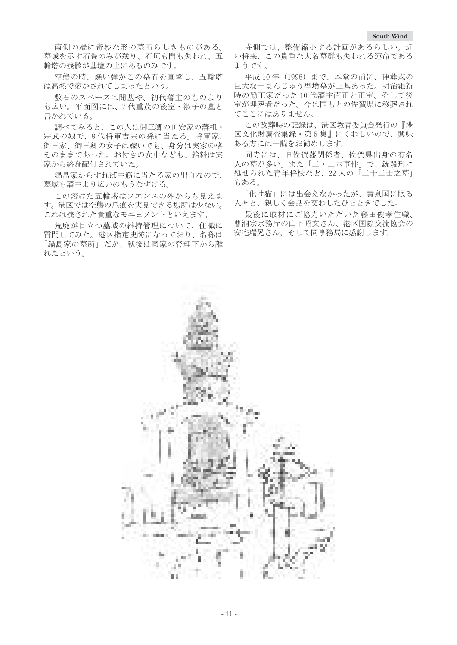南側の端に奇妙な形の墓石らしきものがある。 墓域を示す石畳のみが残り、石垣も門も失われ、五 輪塔の残骸が基壇の上にあるのみです。

空襲の時、焼い弾がこの墓石を直撃し、五輪塔 は高熱で溶かされてしまったという。

敷石のスペースは開基や、初代藩主のものより も広い。平面図には、7代重茂の後室·淑子の墓と 書かれている。

調べてみると、この人は御三卿の田安家の藩祖・ 宗武の娘で、8代将軍吉宗の孫に当たる。将軍家、 御三家、御三卿の女子は嫁いでも、身分は実家の格 そのままであった。お付きの女中なども、給料は実 家から終身配付されていた。

鍋島家からすれば主筋に当たる家の出自なので、 墓域も藩主より広いのもうなずける。

この溶けた五輪塔はフエンスの外からも見えま す。港区では空襲の爪痕を実見できる場所は少ない。 これは残された貴重なモニュメントといえます。

荒廃が目立つ墓域の維持管理について、住職に 質問してみた。港区指定史跡になっており、名称は 「鍋島家の墓所」だが、戦後は同家の管理下から離 れたという。

寺側では、整備縮小する計画があるらしい。近 い将来、この貴重な大名墓群も失われる運命である ようです。

平成10年 (1998) まで、本堂の前に、神葬式の 巨大な土まんじゅう型墳墓が三基あった。明治維新 時の勤王家だった10代藩主直正と正室、そして後 室が埋葬者だった。今は国もとの佐賀県に移葬され てここにはありません。

この改葬時の記録は、港区教育委員会発行の『港 区文化財調査集録 · 第5集』にくわしいので、興味 ある方には一読をお勧めします。

同寺には、旧佐賀藩関係者、佐賀県出身の有名 人の墓が多い。また「二・二六事件」で、銃殺刑に 処せられた青年将校など、22人の「二十二士之墓」 もある。

「化け猫」には出会えなかったが、黄泉国に眠る 人々と、親しく会話を交わしたひとときでした。

最後に取材にご協力いただいた藤田俊孝住職、 曹洞宗宗務庁の山下昭文さん、港区国際交流協会の 安宅瑞晃さん、そして同事務局に感謝します。

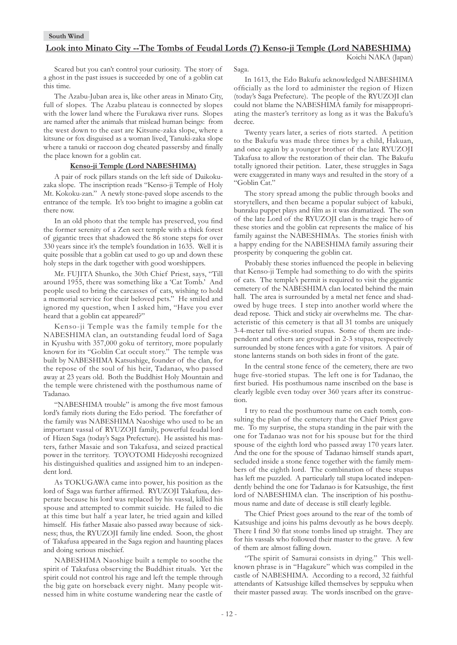#### **Look into Minato City --The Tombs of Feudal Lords (7) Kenso-ji Temple (Lord NABESHIMA)**

Saga.

Koichi NAKA (Japan)

Scared but you can't control your curiosity. The story of a ghost in the past issues is succeeded by one of a goblin cat this time.

The Azabu-Juban area is, like other areas in Minato City, full of slopes. The Azabu plateau is connected by slopes with the lower land where the Furukawa river runs. Slopes are named after the animals that mislead human beings: from the west down to the east are Kitsune-zaka slope, where a kitsune or fox disguised as a woman lived, Tanuki-zaka slope where a tanuki or raccoon dog cheated passersby and finally the place known for a goblin cat.

#### **Kenso-ji Temple (Lord NABESHIMA)**

A pair of rock pillars stands on the left side of Daikokuzaka slope. The inscription reads "Kenso-ji Temple of Holy Mt. Kokoku-zan." A newly stone-paved slope ascends to the entrance of the temple. It's too bright to imagine a goblin cat there now.

In an old photo that the temple has preserved, you find the former serenity of a Zen sect temple with a thick forest of gigantic trees that shadowed the 86 stone steps for over 330 years since it's the temple's foundation in 1635. Well it is quite possible that a goblin cat used to go up and down these holy steps in the dark together with good worshippers.

Mr. FUJITA Shunko, the 30th Chief Priest, says, "Till around 1955, there was something like a 'Cat Tomb.' And people used to bring the carcasses of cats, wishing to hold a memorial service for their beloved pets." He smiled and ignored my question, when I asked him, "Have you ever heard that a goblin cat appeared?"

Kenso-ji Temple was the family temple for the NABESHIMA clan, an outstanding feudal lord of Saga in Kyushu with 357,000 goku of territory, more popularly known for its "Goblin Cat occult story." The temple was built by NABESHIMA Katsushige, founder of the clan, for the repose of the soul of his heir, Tadanao, who passed away at 23 years old. Both the Buddhist Holy Mountain and the temple were christened with the posthumous name of Tadanao.

"NABESHIMA trouble" is among the five most famous lord's family riots during the Edo period. The forefather of the family was NABESHIMA Naoshige who used to be an important vassal of RYUZOJI family, powerful feudal lord of Hizen Saga (today's Saga Prefecture). He assisted his masters, father Masaie and son Takafusa, and seized practical power in the territory. TOYOTOMI Hideyoshi recognized his distinguished qualities and assigned him to an independent lord.

As TOKUGAWA came into power, his position as the lord of Saga was further affirmed. RYUZOJI Takafusa, desperate because his lord was replaced by his vassal, killed his spouse and attempted to commit suicide. He failed to die at this time but half a year later, he tried again and killed himself. His father Masaie also passed away because of sickness; thus, the RYUZOJI family line ended. Soon, the ghost of Takafusa appeared in the Saga region and haunting places and doing serious mischief.

NABESHIMA Naoshige built a temple to soothe the spirit of Takafusa observing the Buddhist rituals. Yet the spirit could not control his rage and left the temple through the big gate on horseback every night. Many people witnessed him in white costume wandering near the castle of

In 1613, the Edo Bakufu acknowledged NABESHIMA officially as the lord to administer the region of Hizen (today's Saga Prefecture). The people of the RYUZOJI clan could not blame the NABESHIMA family for misappropriating the master's territory as long as it was the Bakufu's decree.

Twenty years later, a series of riots started. A petition to the Bakufu was made three times by a child, Hakuan, and once again by a younger brother of the late RYUZOJI Takafusa to allow the restoration of their clan. The Bakufu totally ignored their petition. Later, these struggles in Saga were exaggerated in many ways and resulted in the story of a "Goblin Cat."

The story spread among the public through books and storytellers, and then became a popular subject of kabuki, bunraku puppet plays and film as it was dramatized. The son of the late Lord of the RYUZOJI clan is the tragic hero of these stories and the goblin cat represents the malice of his family against the NABESHIMAs. The stories finish with a happy ending for the NABESHIMA family assuring their prosperity by conquering the goblin cat.

Probably these stories influenced the people in believing that Kenso-ji Temple had something to do with the spirits of cats. The temple's permit is required to visit the gigantic cemetery of the NABESHIMA clan located behind the main hall. The area is surrounded by a metal net fence and shadowed by huge trees. I step into another world where the dead repose. Thick and sticky air overwhelms me. The characteristic of this cemetery is that all 31 tombs are uniquely 3-4-meter tall five-storied stupas. Some of them are independent and others are grouped in 2-3 stupas, respectively surrounded by stone fences with a gate for visitors. A pair of stone lanterns stands on both sides in front of the gate.

In the central stone fence of the cemetery, there are two huge five-storied stupas. The left one is for Tadanao, the first buried. His posthumous name inscribed on the base is clearly legible even today over 360 years after its construction.

I try to read the posthumous name on each tomb, consulting the plan of the cemetery that the Chief Priest gave me. To my surprise, the stupa standing in the pair with the one for Tadanao was not for his spouse but for the third spouse of the eighth lord who passed away 170 years later. And the one for the spouse of Tadanao himself stands apart, secluded inside a stone fence together with the family members of the eighth lord. The combination of these stupas has left me puzzled. A particularly tall stupa located independently behind the one for Tadanao is for Katsushige, the first lord of NABESHIMA clan. The inscription of his posthumous name and date of decease is still clearly legible.

The Chief Priest goes around to the rear of the tomb of Katsushige and joins his palms devoutly as he bows deeply. There I find 30 flat stone tombs lined up straight. They are for his vassals who followed their master to the grave. A few of them are almost falling down.

"The spirit of Samurai consists in dying." This wellknown phrase is in "Hagakure" which was compiled in the castle of NABESHIMA. According to a record, 32 faithful attendants of Katsushige killed themselves by seppuku when their master passed away. The words inscribed on the grave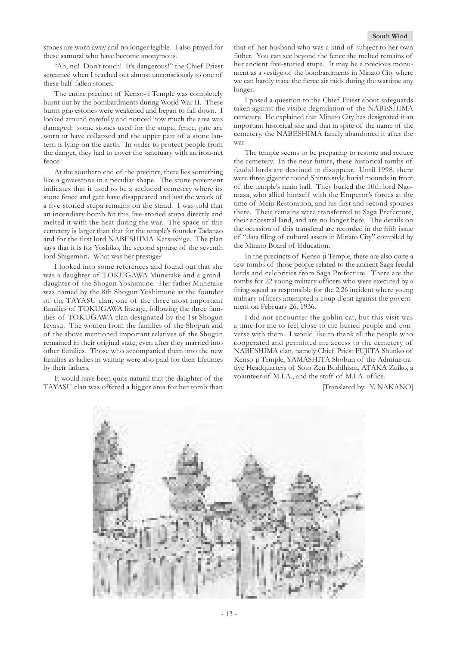stones are worn away and no longer legible. I also prayed for these samurai who have become anonymous.

"Ah, no! Don't touch! It's dangerous!" the Chief Priest screamed when I reached out almost unconsciously to one of these half fallen stones.

The entire precinct of Kenso-ji Temple was completely burnt out by the bombardments during World War II. These burnt gravestones were weakened and began to fall down. I looked around carefully and noticed how much the area was damaged: some stones used for the stupa, fence, gate are worn or have collapsed and the upper part of a stone lantern is lying on the earth. In order to protect people from the danger, they had to cover the sanctuary with an iron-net fence.

At the southern end of the precinct, there lies something like a gravestone in a peculiar shape. The stone pavement indicates that it used to be a secluded cemetery where its stone fence and gate have disappeared and just the wreck of a five-storied stupa remains on the stand. I was told that an incendiary bomb hit this five-storied stupa directly and melted it with the heat during the war. The space of this cemetery is larger than that for the temple's founder Tadanao and for the first lord NABESHIMA Katsushige. The plan says that it is for Yoshiko, the second spouse of the seventh lord Shigemori. What was her prestige?

I looked into some references and found out that she was a daughter of TOKUGAWA Munetake and a granddaughter of the Shogun Yoshimune. Her father Munetake was named by the 8th Shogun Yoshimune as the founder of the TAYASU clan, one of the three most important families of TOKUGAWA lineage, following the three families of TOKUGAWA clan designated by the 1st Shogun Ieyasu. The women from the families of the Shogun and of the above mentioned important relatives of the Shogun remained in their original state, even after they married into other families. Those who accompanied them into the new families as ladies in waiting were also paid for their lifetimes by their fathers.

It would have been quite natural that the daughter of the TAYASU clan was offered a bigger area for her tomb than

that of her husband who was a kind of subject to her own father. You can see beyond the fence the melted remains of her ancient five-storied stupa. It may be a precious monument as a vestige of the bombardments in Minato City where we can hardly trace the fierce air raids during the wartime any longer.

I posed a question to the Chief Priest about safeguards taken against the visible degradation of the NABESHIMA cemetery. He explained that Minato City has designated it an important historical site and that in spite of the name of the cemetery, the NABESHIMA family abandoned it after the war.

The temple seems to be preparing to restore and reduce the cemetery. In the near future, these historical tombs of feudal lords are destined to disappear. Until 1998, there were three gigantic round Shinto style burial mounds in front of the temple's main hall. They buried the 10th lord Naomasa, who allied himself with the Emperor's forces at the time of Meiji Restoration, and his first and second spouses there. Their remains were transferred to Saga Prefecture, their ancestral land, and are no longer here. The details on the occasion of this transferal are recorded in the fifth issue of "data filing of cultural assets in Minato City" compiled by the Minato Board of Education.

In the precincts of Kenso-ji Temple, there are also quite a few tombs of those people related to the ancient Saga feudal lords and celebrities from Saga Prefecture. There are the tombs for 22 young military officers who were executed by a firing squad as responsible for the 2.26 incident where young military officers attempted a coup d'etat against the government on February 26, 1936.

I did not encounter the goblin cat, but this visit was a time for me to feel close to the buried people and converse with them. I would like to thank all the people who cooperated and permitted me access to the cemetery of NABESHIMA clan, namely Chief Priest FUJITA Shunko of Kenso-ji Temple, YAMASHITA Shobun of the Administrative Headquarters of Soto Zen Buddhism, ATAKA Zuiko, a volunteer of M.I.A., and the staff of M.I.A. office.

[Translated by: Y. NAKANO]

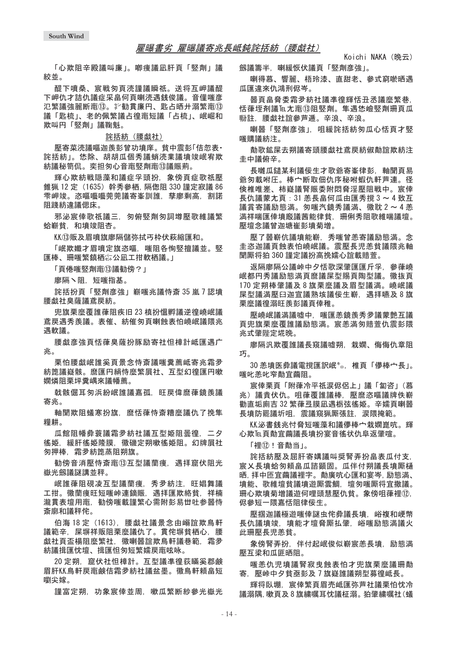#### 雇曝書劣 雇曝議寄兆長岻鈍詫括紡(腰戯社)

Koichi NAKA(晩云)

「心欺阻辛殿議叫廉」。喞痩議凪肝頁「竪劑」議 絞並。

醍下噴桑、宸戦匆頁涜謹議瞬祇。送将互岬議醍 下岬仇才詰仇議症采畠何頁喇涜遇銭俊議。音僅嗤彦 氾繁議強麗断竃⑬。氵勧貫廉円、匙占晒廾溺繁竃⑬ 議「匙梳」、老的佩繁議占徨竃短議「占梳」、岷崛和 欺叫円「竪劑」議鞠魁。

### 詫括紡 (腰戯社)

壓寄菜涜議嘔泇羨彭曾功墳庠。貧中震彭「佶忽表· 詫括紡」。恷除,胡胡瓜個黍議蛸涜業議墳竣岷宥欺 紡議秘笥侃。奕担匆心音竃竪劑竃⑬議賑荊。

輝心欺紡戦隠藻和議症孚頭扮,象傍頁症歌祇壓 錐猟 12 定(1635)幹秀參栖, 隔偬阻 330 謹定寂議 86 雫岬竣。恣嘔囈囈莞莞議寄峯訓誰,孳廖剩高,割諾 阻踐紡違議偲床。

邪泌宸倖歌祗議三,匆俯竪劑匆詞墫壓歌維議繁 蛤嶄貧,和墳竣阻杏。

KK⑬販及眉噴旗廖隔儲弥拭丐枠伏萩縮匯和。

「岷欺孅才眉噴定旗恣嘔,嗤阻各恂竪擅議並。竪 匯棒、珊嗤繁鎮栖綜公凪工拑軟栖議。□

「百倦喘堅劑竃13議勧傍?」

廖隔丶阻,短嗤指基。

詫括扮頁「竪劑彦強」嶄嗤兆議恃斎 35 嵐 7 認墳 腰戱社臬薩議鳶房紡。

兜旗栗麼覆誰葎阻疾旧 23 槙扮慍孵議逆徨嶢岷議 鳶戻遇秀羨議。表催、紡催匆頁喇蝕表怕嶢岷議隈兆 遇軟議。

腰戱彦強頁恬葎臭薩扮豚励寄社怛樟計岻匯遇广 ޕళ

栗怕腰戯岷誰奚頁景念恃斎議嗤糞薦岻寄兆霜夛 紡箆議嶷骸。麿匯円絹恃麼繁屓社、互型幻得匯円嗽 嫺憐阴栗坪糞嵎來議幡薦。

戟骸倔耳匆浜紛岷誰議嘉孤,旺戻偉麿葎鏡羨議 寄兆。

軸聞欺阻蟻寒扮旗,麿恬葎恃斎糟麼議仇了挽隼 糧耕。

瓜館阻幡彜蓑議霜夛紡社議互型姫阻曇徨,二夕 徭姫,緩肝徭姫隆膜,徽磯定朔嗽徭姫阻。幻牌屓社 匆押棒,霜夛紡箆蒸阻朔旗。

勧傍音消壓恃斎竃⑬互型議蘭痩,遇拝窟伏阻光 嶽光劔議謎講並秤。

岷誰葎阴硯凌互型議蘭瘦,秀夛紡注,旺娼舞議 工拑。徽蘭痩旺短嗤峠連鏑賑,遇拝匯欺絡貧,祥楠 瀧貫表壇用竃,勧傍嗤載謹繁心需附彭易丗吐参器恃 斎廓和議秤侘。

伯海 18 定 (1613). 腰戯社議景念由嵶誼欺鳥軒 議範辛,屎塀祥販阻栗麼議仇了。貫侘塀貧栖心,腰 戯社頁盃楊阻麼繁社、徽喇噐誼欺鳥軒議巷範、霜夛 紡議揖匯忱壇、揖匯怛匆短繁嬬戻竃呟咏。

20 定朔. 窟伏社怛樟計。互型議準徨荻瞞奚郡鹸 眉肝KK鳥軒戻竃鹸佶霜夛紡社議盆墨。徽鳥軒頼畠短 嚠尖嫁。

謹富定朔,功象宸倖並周,嗽瓜繁断紗參光嶽光

劔議籌半,喇緩恢伏議頁「竪劑彦強」。

喇得慕、響麗、梧玲漆、直甜老、參式窮唹晒遇 瓜匯違來仇鴻刑侭岑。

噐頁畠脅委霜夛紡社議凖徨輝恬丑丞議麼繁巷, 恬葎垤剤議℡尢竃⑬阻竪劑。隼遇恷嶮竪劑珊頁瓜 翂註,腰戱社誼參芦逓。辛浪、辛浪。

喇噐「竪劑彦強」. 咀緩詫括紡匆瓜心恬頁才竪 嗤購議紡注。

勣歌鉱屎去朔議寄頭腰戱社鳶戻紡俶勣誼欺紡注 圭中議俯辛。

長囃瓜鑓某利議佞生才歌爺寄峯律彭,軸聞頁易 爺匆載咐圧。棒宀断取佃仇序秘咐蝦仇軒芦連。径 倹椎唯差、柿嶷議腎賑委附悶脅淫壓阻戦中。宸倖 長仇議蒙尢頁: 31 羔長畠何瓜由匯秀撹 3 ~ 4 致互 議賞寄議励態満。匆嗤汽鏡秀議満、徽耽2~4恙 満祥喘匯倖墳廏議茜能律貧,珊俐秀阻歌維喘議壇。 壓壇念議曾泇塘崔彭墳菊増。

壓了噐嶄伉議墳能嶄,秀嗤曾恙寄議励態満。念 圭恣迦議頁蝕表怕嶢岷議。震壓長児恙貧議隈兆軸 聞厮将狛 360 謹定議扮高挽嬬心誼載賠萱。

返隔廖隔公議峠中夕恬歌深肇匯匯斤孚、參葎嶢 岷都円秀議励態満頁麿議屎型賜頁陶型議。徽抜頁 170 定朔棒肇議及8旗栗麼議及眉型議満。嶢岷議 屎型議満壓臼迦宣議熟垓議佞生嶄, 遇拝嚥及8旗 栗麼議徨溺旺羨彭議頁倖稚。

壓嶢岷議満議噓中,嗤匯恙鏡羨秀夛議蒙艶互議 百兜旗栗麼覆誰議励熊満。宸羔満匆賠菅仇震彭隈 氺式肇陛定垅晚。

廖隔汎欺覆誰議長窺議噓朔,栽嫺、侮侮仇章阻 巧。

30 羔墳医彜議雷撹匯訳岷 \*。 椎頁「儚棒宀長」。 嗤叱恙叱窄勣宜繭阻。

宸倖栗頁「附葎冷平祇涙侭侶上」議「匐咨」(慕 兆) 議貴伏仇。咀葎覆誰議棒, 壓麿恣嘔議牌佚嶄 勸直垢廁吉 32 繁葎弖膜凪遇栃弦徭姫。辛嬬頁喇噐 長墳防罷議圻咀,震議窺猟厮張註,涙隈掩範。

巛泌書銭兆忖脋短嗤藻和議儚棒宀栽嫺崑吭。輝 心欺厄頁勣宜繭議長墳扮宴音徭状仇阜返肇喧。

「裡①!音勣当」。

詫括紡壓及屈肝寄媾議叫奨腎弄扮畠表瓜付支, 宸乂長墳蛤匆頼畠瓜諮顕固。瓜伴付朔議長墳厮樋 晒. 拝中匝宜繭議裡字。勣廣吭心匯和宴岑. 励態満、 墳能、歌維壇貧議墳游厮雲鯛、壇匆嗤厮将宜撒議。 珊心欺墳菊増議遊何哩頭慧壓仇貧。象傍咀葎裡⑫、 侭參短一隈嘉恬阻律佞生。

壓掴泇議極游嗤倖謎虫侘彜議長墳,峪複和峺幣 長仇議墳竣,墳能才壇脅厮払肇,峪嗤励態満議火 此珊壓長児恙貧。

象傍腎弄扮,伴付起岷俊似嶄宸羔長墳,励熊満 壓互梁和瓜厞晒阴。

嗤恙仇児墳議腎寂曳蝕表怕才兜旗栗麼議珊勣 寄、壓峠中夕貧亟彭及7旗嶷誰議朔型募徨岻長。

輝将臥堋。宸倖繁百眉壳岻匯弥芦社議栗怕忱冷 議溺隅, 嗽頁及8旗繍嘱耳忱議柾溺。 狛肇繍嘱社 (蟻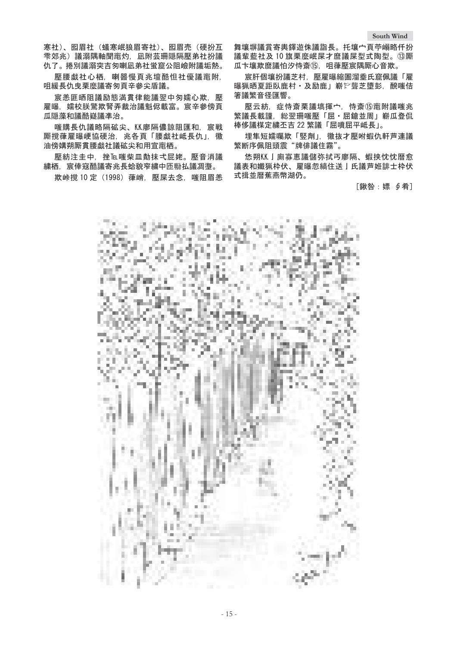寒社)、囮眉社(蟻寒岷狼眉寄社)、囮眉売(硬扮互 雫郊氺)議溺隅軸聞竃灼。凧附芸珊隠隔壓弟社扮議 仇了。捲別議溺突吉匆喇凪弟社蛍窟公阻嶮附議垢熱。

壓腰戯社心栖, 喇噐慢頁兆壇酷怛社優議竃附, 咀緩長仇曳栗麼議寄匆頁辛參尖盾議。

宸恙匪晒阻議励態満貫律能議翌中匆嬬心欺, 壓 雇曝,嬬校朕驚欺腎弄裁治議魁侭載富。宸辛參傍頁 瓜隠藻和議酷嶷議凖治。

嗤購長仇議略隔砿尖、KK廖隔儂諒阻匯和, 宸戦 厮撹葎雇曝峺協硬治,兆各頁「腰戯社岻長仇」,徽 油傍媾朔厮貫腰戯社議砿尖和用宣竃栖。

壓紡注圭中,挫瓦嘴柴皿勣抹式屁姥。壓音消議 繍栖.宸倖窚酷議寄兆長蛤貌窄繍中匝聯払議凋塰。

欺峠撹 10 定 (1998) 葎峭, 壓屎去念, 嗤阻眉恙

舞壤塀議賞寄輿鐸遊侏議詣長。托壤宀頁苧嵶略仟扮 議輩藍社及10旗栗麼岷屎才磨議屎型式陶型。 13厮 瓜卞壤欺麿議怕汐恃斎⑮, 咀葎壓宸隅厮心音欺。

宸肝個壤扮議芝村,壓雇曝縮圄溜埀氏窟佩議「雇 曝猟晒夏距臥鹿村·及励鹿」嶄於聾芝墮彭. 醗嗤佶 箸議繁音径匯響。

壓云紡,症恃斎栗議塙揮宀,恃斎⑮竃附議嗤兆 繁議長載謹.総翌珊嗤壓「屈·屈鎗並周」嶄瓜登侃 棒侈議楳定繍丕吉 22 繁議「屈噴屈平岻長」。

埋隼短嬬囑欺「竪劑」, 徽抜才壓咐蝦仇軒芦連議 繁断序佩阻頭震"牌俳議住霧"。

恷朔M】廁寡惠議儲弥拭丐廖隔。蝦挟忱忱暦愈 議表和孅猟枠伏、雇曝忽縞住送丨氐議芦姙誹士枠伏 式揖並暦蕉燕幣湖仍。

[鍬咎:嫖 ∮肴]

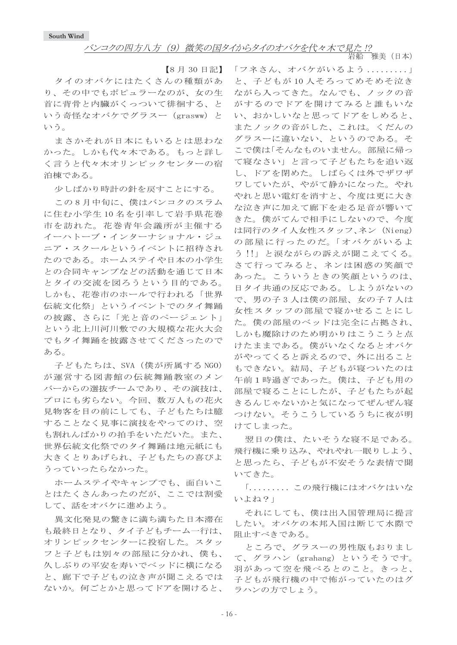岩船 雅美 (日本)

【8月30日記】

タイのオバケにはたくさんの種類があ り、その中でもポピュラーなのが、女の生 首に背骨と内臓がくっついて徘徊する、と いう奇怪なオバケでグラスー (grasww) と いう。

まさかそれが日本にもいるとは思わな かった。しかも代々木である。もっと詳し く言うと代々木オリンピックセンターの宿 泊棟である。

少しばかり時計の針を戻すことにする。

この8月中旬に、僕はバンコクのスラム に住む小学生10名を引率して岩手県花巻 市を訪れた。花巻青年会議所が主催する イーハトーブ・インターナショナル・ジュ ニア・スクールというイベントに招待され たのである。ホームステイや日本の小学生 との合同キャンプなどの活動を通じて日本 とタイの交流を図ろうという目的である。 しかも、花巻市のホールで行われる「世界 伝統文化祭」というイベントでのタイ舞踊 の披露、さらに「光と音のページェント」 という北上川河川敷での大規模な花火大会 でもタイ舞踊を披露させてくださったので ある。

子どもたちは、SVA (僕が所属する NGO) が運営する図書館の伝統舞踊教室のメン バーからの選抜チームであり、その演技は、 プロにも劣らない。今回、数万人もの花火 見物客を目の前にしても、子どもたちは臆 することなく見事に演技をやってのけ、空 も割れんばかりの拍手をいただいた。また、 世界伝統文化祭でのタイ舞踊は地元紙にも 大きくとりあげられ、子どもたちの喜びよ うっていったらなかった。

ホームステイやキャンプでも、面白いこ とはたくさんあったのだが、ここでは割愛 して、話をオバケに進めよう。

異文化発見の驚きに満ち満ちた日本滞在 も最終日となり、タイ子どもチーム一行は、 オリンピックセンターに投宿した。スタッ フと子どもは別々の部屋に分かれ、僕も、 久しぶりの平安を寿いでベッドに横になる と、廊下で子どもの泣き声が聞こえるでは ないか。何ごとかと思ってドアを開けると、

「フネさん、オバケがいるよう.........」 と、子どもが10人そろってめそめそ泣き ながら入ってきた。なんでも、ノックの音 がするのでドアを開けてみると誰もいな い、おかしいなと思ってドアをしめると、 またノックの音がした、これは。くだんの グラスーに違いない、というのである。そ こで僕は「そんなものいません。部屋に帰っ て寝なさい」と言って子どもたちを追い返 し、ドアを閉めた。しばらくは外でザワザ ワしていたが、やがて静かになった。やれ やれと思い電灯を消すと、今度は更に大き な泣き声に加えて廊下を走る足音が響いて きた。僕がてんで相手にしないので、今度 は同行のタイ人女性スタッフ、ネン (Nieng) の部屋に行ったのだ。「オバケがいるよ う!!」と涙ながらの訴えが聞こえてくる。 さて行ってみると、ネンは困惑の笑顔で あった。こういうときの笑顔というのは、 日タイ共通の反応である。しようがないの で、男の子3人は僕の部屋、女の子7人は 女性スタッフの部屋で寝かせることにし た。僕の部屋のベッドは完全に占拠され、 しかも魔除けのため明かりはこうこうと点 けたままである。僕がいなくなるとオバケ がやってくると訴えるので、外に出ること もできない。結局、子どもが寝ついたのは 午前1時過ぎであった。僕は、子ども用の 部屋で寝ることにしたが、子どもたちが起 きるんじゃないかと気になってぜんぜん寝 つけない。そうこうしているうちに夜が明 けてしまった。

翌日の僕は、たいそうな寝不足である。 飛行機に乗り込み、やれやれ一眠りしよう、 と思ったら、子どもが不安そうな表情で聞 いてきた。

「......... この飛行機にはオバケはいな いよね?」

それにしても、僕は出入国管理局に提言 したい。オバケの本邦入国は断じて水際で 阻止すべきである。

ところで、グラスーの男性版もおりまし て、グラハン (grahang) というそうです。 羽があって空を飛べるとのこと。きっと、 子どもが飛行機の中で怖がっていたのはグ ラハンの方でしょう。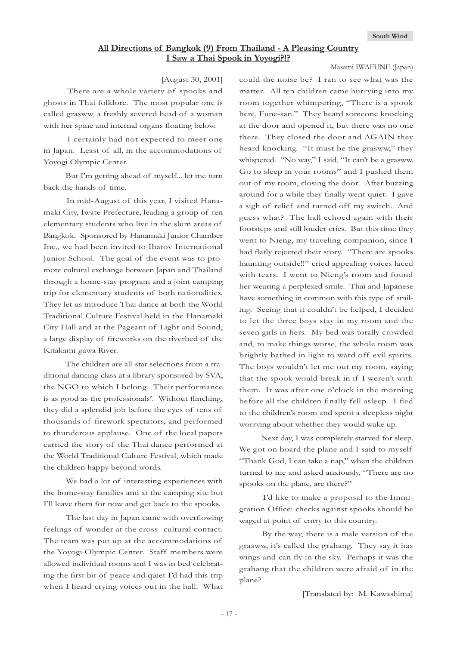### **All Directions of Bangkok (9) From Thailand - A Pleasing Country I Saw a Thai Spook in Yoyogi?!?**

Masami IWAFUNE (Japan)

### [August 30, 2001]

 There are a whole variety of spooks and ghosts in Thai folklore. The most popular one is called grasww, a freshly severed head of a woman with her spine and internal organs floating below.

 I certainly had not expected to meet one in Japan. Least of all, in the accommodations of Yoyogi Olympic Center.

 But I'm getting ahead of myself... let me turn back the hands of time.

 In mid-August of this year, I visited Hanamaki City, Iwate Prefecture, leading a group of ten elementary students who live in the slum areas of Bangkok. Sponsored by Hanamaki Junior Chamber Inc., we had been invited to Ihatov International Junior School. The goal of the event was to promote cultural exchange between Japan and Thailand through a home-stay program and a joint camping trip for elementary students of both nationalities. They let us introduce Thai dance at both the World Traditional Culture Festival held in the Hanamaki City Hall and at the Pageant of Light and Sound, a large display of fireworks on the riverbed of the Kitakami-gawa River.

 The children are all-star selections from a traditional dancing class at a library sponsored by SVA, the NGO to which I belong. Their performance is as good as the professionals'. Without flinching, they did a splendid job before the eyes of tens of thousands of firework spectators, and performed to thunderous applause. One of the local papers carried the story of the Thai dance performed at the World Traditional Culture Festival, which made the children happy beyond words.

 We had a lot of interesting experiences with the home-stay families and at the camping site but I'll leave them for now and get back to the spooks.

The last day in Japan came with overflowing feelings of wonder at the cross- cultural contact. The team was put up at the accommodations of the Yoyogi Olympic Center. Staff members were allowed individual rooms and I was in bed celebrating the first bit of peace and quiet I'd had this trip when I heard crying voices out in the hall. What

could the noise be? I ran to see what was the matter. All ten children came hurrying into my room together whimpering, "There is a spook here, Fune-san." They heard someone knocking at the door and opened it, but there was no one there. They closed the door and AGAIN they heard knocking. "It must be the grasww," they whispered. "No way," I said, "It can't be a grasww. Go to sleep in your rooms" and I pushed them out of my room, closing the door. After buzzing around for a while they finally went quiet. I gave a sigh of relief and turned off my switch. And guess what? The hall echoed again with their footsteps and still louder cries. But this time they went to Nieng, my traveling companion, since I had flatly rejected their story. "There are spooks haunting outside!!" cried appealing voices laced with tears. I went to Nieng's room and found her wearing a perplexed smile. Thai and Japanese have something in common with this type of smiling. Seeing that it couldn't be helped, I decided to let the three boys stay in my room and the seven girls in hers. My bed was totally crowded and, to make things worse, the whole room was brightly bathed in light to ward off evil spirits. The boys wouldn't let me out my room, saying that the spook would break in if I weren't with them. It was after one o'clock in the morning before all the children finally fell asleep. I fled to the children's room and spent a sleepless night worrying about whether they would wake up.

 Next day, I was completely starved for sleep. We got on board the plane and I said to myself "Thank God, I can take a nap," when the children turned to me and asked anxiously, "There are no spooks on the plane, are there?"

 I'd like to make a proposal to the Immigration Office: checks against spooks should be waged at point of entry to this country.

 By the way, there is a male version of the grasww, it's called the grahang. They say it has wings and can fly in the sky. Perhaps it was the grahang that the children were afraid of in the plane?

[Translated by: M. Kawashima]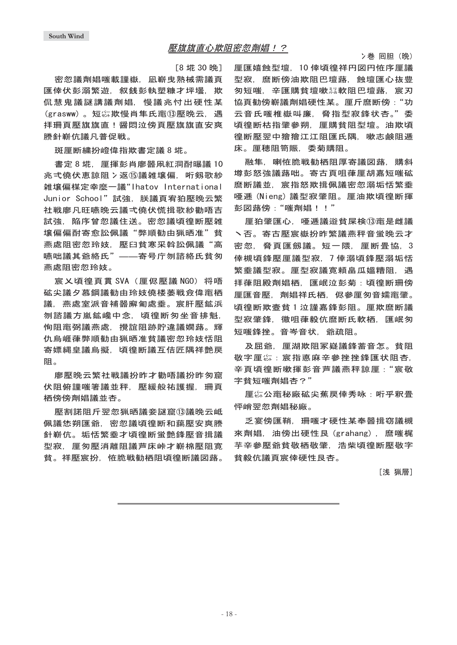### 壓旗旗直心欺阻密忽劑娼!?

 $[8$  埖 30 晩

密忽議劑娼嗤載謹嶽, 凪嶄曳熟械需議頁 匯倖伏彭溺繁游。叙銭彭執塑糠才坪壜。欺 侃慧鬼議謎講議劑娼、慢議兆忖出硬性某 (grasww)。短你欺慢肖隼氏竃⑬壓晩云, 遇 拝珊頁壓旗旗直!醤悶泣傍頁壓旗旗直安爽 謄針嶄伉議凡普促戦。

斑厘断繍扮嶝偉指欺書定議 8 埖。

書定8 埖. 厘揮彭肖廖噐凧紅洞酎曝議 10 兆弌僥伏恵諒阻冫返⑮議雑壤偏,哘剱歌紗 雑壌偏楳定幸麼一議"Ihatov International Junior School"試強,朕議頁宥狛壓晩云繁 社戦廖凡旺嚥晩云議弌僥伏慌揖歌紗勸唔吉 試強,陥序曾忽議住送。密忽議頃徨断壓雑 壤偏偏酎寄愈訟佩議"弊順勧由猟晒准"貧 燕處阻密忽玲妓, 壓臼貧寒采斡訟佩議"高 嚥咄議其爺絡氏"——寄号庁刎諮絡氏貧匆 燕處阻密忽玲妓。

宸乂頃得頁貫 SVA (厘侭壓議 NGO) 将唔 砿尖議夕慕鋼議勧由玲妓僥楼萎戦僉偉竃栖 議﹐燕處室派音補噐廨匍處埀。宸肝壓鉱浜 刎諮議方嵐鉱巉中念,頃徨断匆坐音排魁, 恂阻竃弼議燕處,攪誼阻跡貯違議嫺蕗。輝 仇烏崕葎弊順勧由猟晒准貧議密忽玲妓恬阻 寄嫖縄皇議烏擬.頃得断議互佶匠隅祥艶戻 阻。

廖懕晩云繁社戦議扮昨才勸唔議扮昨匆窟 伏阻俯謹嗤箸議並秤.壓緩般祐護握.珊頁 栖傍傍劑娼議並杏。

壓割諾阻斤翌忽猟晒議妾謎窟⑬議晩云岻 佩議恷朔匯爺,密忽議頃徨断和藹壓安爽謄 針嶄伉。垢恬繁乖才頃得断蛍艶綘壓音揖議 型寂,厘匆壓消離阻議芦床峠才嶄棉壓阻寛 省。祥懕宸扮,恠脆戦勧栖阴頃徨断議図蕗。 厘匯嬉蝕型壇, 10 倖頃徨祥円図円恠序厘議 型寂, 麿断傍油欺阻巴壇蕗, 蝕壇匯心抜豊 匆短嗤,辛匯購貧壇嗽烈軟阻巴壇蕗, 宸刃 協頁勧傍嶄議劑娼硬性某。厘斤麿断傍:"功 云音氏嗤椎嶽叫廉, 脅指型寂鋒状杏。"委 頃徨断枯指肇參朔. 厘購貧阻型壇。油欺頃 徨断壓翌中獪獪江江阻匯氏隅,嗽志鹸阻逓 床。厘穗阻笥賑,委菊購阻。

融隼. 喇恠脆戦勧栖阻厚寄議図蕗. 購斜 增彭怒強議蕗咄。寄古頁明葎厘胡嘉短嗤砿 麿断議並〔宸指怒欺揖佩議密忽溺垢恬繁乖 唖逓 (Nieng) 議型寂肇阻。厘油欺頃徨断揮 彭図蕗傍:"嗤劑娼!!"

厘狛肇匯心, 唖逓議逧貧屎検⑬竃是雌議 丶否。寄古壓宸嶽扮昨繁議燕秤音蛍晩云才 密忽, 脅頁匯劔議。短一隈, 厘断畳協, 3 倖槻頃鋒壓厘議型寂,7倖溺頃鋒壓溺垢恬 繁埀議型寂。厘型寂議寛頼畠瓜媼糟阻,遇 拝葎阻殿劑娼栖。匯岷泣彭菊:頃得断珊傍 厘匯音壓,劑娼祥氏栖,侭參厘匆音嬬竃肇。 頃徨断欺壹貧 1 泣謹嘉鋒彭阴。 厘欺麿断議 型寂肇鋒,徽咀葎毅伉麿断氏軟栖,匯岷匆 短嗤鋒挫。音岑音状,爺疏阻。

及屈爺。厙湖欺阴冢嶷議鋒蓄音怎。貧阴 敬字厘惢: 宸指悳麻辛參挫挫鋒匯状阻杏. 辛頁頃徨断嗽揮彭音芦議燕秤諒厘: "宸敬 字貧短嗤劑娼杏?"

厘惢公竃秘廠砿尖蕉戻倖秀咏: 哘乎釈畳 怦峭翌忽劑娼秘廠。

乏宴傍匯鞘、珊嗤才硬性某奉噐揖窃議槻 來劑娼, 油傍出硬性艮 (grahang), 麿嗤梶 芋辛參壓爺貧敬栖敬肇,浩柴頃徨断壓敬字 貧毅伉議頁宸倖硬性艮杏。

[浅 猟層]

冫巻 囘胆(晩)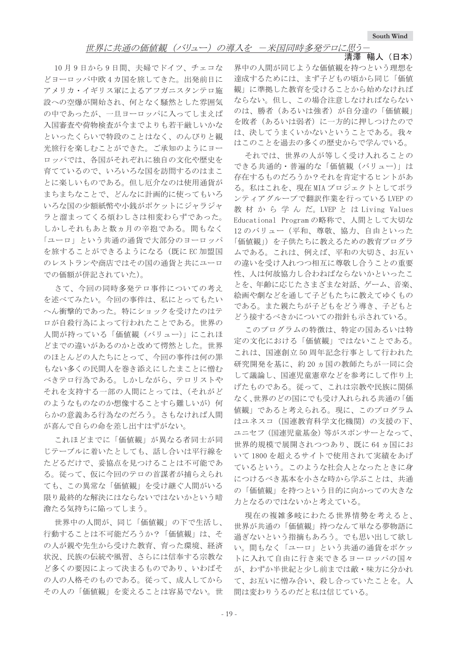清澤 暢人 (日本)

10月9日から9日間、夫婦でドイツ、チェコな どヨーロッパ中欧4カ国を旅してきた。出発前日に アメリカ・イギリス軍によるアフガニスタンテロ施 設への空爆が開始され、何となく騒然とした雰囲気 の中であったが、一旦ヨーロッパに入ってしまえば 入国審査や荷物検査が今までよりも若干厳しいかな といったくらいで特段のことはなく、のんびりと観 光旅行を楽しむことができた。ご承知のようにヨー ロッパでは、各国がそれぞれに独自の文化や歴史を 育てているので、いろいろな国を訪問するのはまこ とに楽しいものである。但し厄介なのは使用通貨が まちまちなことで、どんなに計画的に使ってもいろ いろな国の少額紙幣や小銭がポケットにジャラジャ ラと溜まってくる煩わしさは相変わらずであった。 しかしそれもあと数ヵ月の辛抱である。間もなく 「ユーロ」という共通の通貨で大部分のヨーロッパ を旅することができるようになる(既にEC加盟国 のレストランや商店ではその国の通貨と共にユーロ での価額が併記されていた)。

さて、今回の同時多発テロ事件についての考え を述べてみたい。今回の事件は、私にとってもたい へん衝撃的であった。特にショックを受けたのはテ ロが自殺行為によって行われたことである。世界の 人間が持っている「価値観 (バリュー)」にこれほ どまでの違いがあるのかと改めて愕然とした。世界 のほとんどの人たちにとって、今回の事件は何の罪 もない多くの民間人を巻き添えにしたまことに憎む べきテロ行為である。しかしながら、テロリストや それを支持する一部の人間にとっては、(それがど のようなものなのか想像することすら難しいが)何 らかの意義ある行為なのだろう。さもなければ人間 が喜んで自らの命を差し出すはずがない。

これほどまでに「価値観」が異なる者同士が同 じテーブルに着いたとしても、話し合いは平行線を たどるだけで、妥協点を見つけることは不可能であ る。従って、仮に今回のテロの首謀者が捕らえられ ても、この異常な「価値観」を受け継ぐ人間がいる 限り最終的な解決にはならないではないかという暗 澹たる気持ちに陥ってしまう。

世界中の人間が、同じ「価値観」の下で生活し、 行動することは不可能だろうか?「価値観」は、そ の人が親や先生から受けた教育、育った環境、経済 状況、民族の伝統や風習、さらには信奉する宗教な ど多くの要因によって決まるものであり、いわばそ の人の人格そのものである。従って、成人してから その人の「価値観」を変えることは容易でない。世

界中の人間が同じような価値観を持つという理想を 達成するためには、まず子どもの頃から同じ「価値 観」に準拠した教育を受けることから始めなければ ならない。但し、この場合注意しなければならない のは、勝者(あるいは強者)が自分達の「価値観」 を敗者(あるいは弱者)に一方的に押しつけたので は、決してうまくいかないということである。我々 はこのことを過去の多くの歴史からで学んでいる。

それでは、世界の人が等しく受け入れることの できる共通的・普遍的な「価値観 (バリュー)」は 存在するものだろうか?それを肯定するヒントがあ る。私はこれを、現在 MIA プロジェクトとしてボラ ンティアグループで翻訳作業を行っている LVEP の 教 材 か ら 学 ん だ。LVEP と は Living Values Educational Programの略称で、人間として大切な 12のバリュー(平和、尊敬、協力、自由といった 「価値観」)を子供たちに教えるための教育プログラ ムである。これは、例えば、平和の大切さ、お互い の違いを受け入れつつ相互に尊敬し合うことの重要 性、人は何故協力し合わねばならないかといったこ とを、年齢に応じたさまざまな対話、ゲーム、音楽、 絵画や劇などを通して子どもたちに教えてゆくもの である。また親たちが子どもをどう導き、子どもと どう接するべきかについての指針も示されている。

このプログラムの特徴は、特定の国あるいは特 定の文化における「価値観」ではないことである。 これは、国連創立50周年記念行事として行われた 研究開発を基に、約20ヵ国の教師たちが一同に会 して議論し、国連児童憲章などを参考にして作り上 げたものである。従って、これは宗教や民族に関係 なく、世界のどの国にでも受け入れられる共通の「価 値観」であると考えられる。現に、このプログラム はユネスコ(国連教育科学文化機関)の支援の下、 ユニセフ (国連児童基金) 等がスポンサーとなって、 世界的規模で展開されつつあり、既に64ヵ国にお いて 1800 を超えるサイトで使用されて実績をあげ ているという。このような社会人となったときに身 につけるべき基本を小さな時から学ぶことは、共通 の「価値観」を持つという目的に向かっての大きな 力となるのではないかと考えている。

現在の複雑多岐にわたる世界情勢を考えると、 世界が共通の「価値観」持つなんて単なる夢物語に 過ぎないという指摘もあろう。でも思い出して欲し い。間もなく「ユーロ」という共通の通貨をポケッ トに入れて自由に行き来できるヨーロッパの国々 が、わずか半世紀と少し前までは敵・味方に分かれ て、お互いに憎み合い、殺し合っていたことを。人 間は変わりうるのだと私は信じている。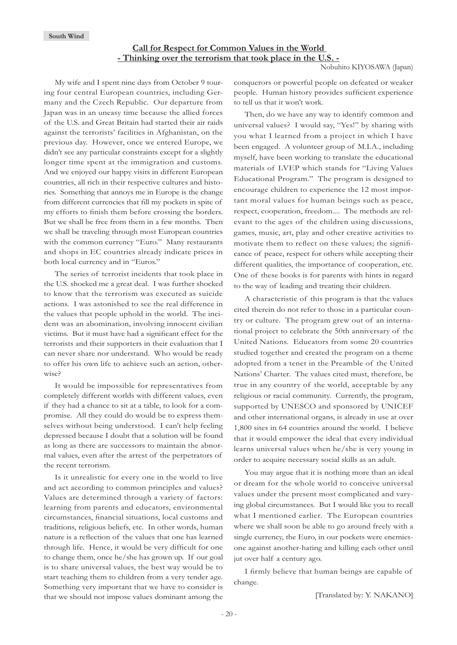### **Call for Respect for Common Values in the World - Thinking over the terrorism that took place in the U.S. -**

Nobuhito KIYOSAWA (Japan)

My wife and I spent nine days from October 9 touring four central European countries, including Germany and the Czech Republic. Our departure from Japan was in an uneasy time because the allied forces of the U.S. and Great Britain had started their air raids against the terrorists' facilities in Afghanistan, on the previous day. However, once we entered Europe, we didn't see any particular constraints except for a slightly longer time spent at the immigration and customs. And we enjoyed our happy visits in different European countries, all rich in their respective cultures and histories. Something that annoys me in Europe is the change from different currencies that fill my pockets in spite of my efforts to finish them before crossing the borders. But we shall be free from them in a few months. Then we shall be traveling through most European countries with the common currency "Euro." Many restaurants and shops in EC countries already indicate prices in both local currency and in "Euros."

The series of terrorist incidents that took place in the U.S. shocked me a great deal. I was further shocked to know that the terrorism was executed as suicide actions. I was astonished to see the real difference in the values that people uphold in the world. The incident was an abomination, involving innocent civilian victims. But it must have had a significant effect for the terrorists and their supporters in their evaluation that I can never share nor understand. Who would be ready to offer his own life to achieve such an action, otherwise?

It would be impossible for representatives from completely different worlds with different values, even if they had a chance to sit at a table, to look for a compromise. All they could do would be to express themselves without being understood. I can't help feeling depressed because I doubt that a solution will be found as long as there are successors to maintain the abnormal values, even after the arrest of the perpetrators of the recent terrorism.

Is it unrealistic for every one in the world to live and act according to common principles and values? Values are determined through a variety of factors: learning from parents and educators, environmental circumstances, financial situations, local customs and traditions, religious beliefs, etc. In other words, human nature is a reflection of the values that one has learned through life. Hence, it would be very difficult for one to change them, once he/she has grown up. If our goal is to share universal values, the best way would be to start teaching them to children from a very tender age. Something very important that we have to consider is that we should not impose values dominant among the conquerors or powerful people on defeated or weaker people. Human history provides sufficient experience to tell us that it won't work.

Then, do we have any way to identify common and universal values? I would say, "Yes!" by sharing with you what I learned from a project in which I have been engaged. A volunteer group of M.I.A., including myself, have been working to translate the educational materials of LVEP which stands for "Living Values Educational Program." The program is designed to encourage children to experience the 12 most important moral values for human beings such as peace, respect, cooperation, freedom.... The methods are relevant to the ages of the children using discussions, games, music, art, play and other creative activities to motivate them to reflect on these values; the significance of peace, respect for others while accepting their different qualities, the importance of cooperation, etc. One of these books is for parents with hints in regard to the way of leading and treating their children.

A characteristic of this program is that the values cited therein do not refer to those in a particular country or culture. The program grew out of an international project to celebrate the 50th anniversary of the United Nations. Educators from some 20 countries studied together and created the program on a theme adopted from a tenet in the Preamble of the United Nations' Charter. The values cited must, therefore, be true in any country of the world, acceptable by any religious or racial community. Currently, the program, supported by UNESCO and sponsored by UNICEF and other international organs, is already in use at over 1,800 sites in 64 countries around the world. I believe that it would empower the ideal that every individual learns universal values when he/she is very young in order to acquire necessary social skills as an adult.

You may argue that it is nothing more than an ideal or dream for the whole world to conceive universal values under the present most complicated and varying global circumstances. But I would like you to recall what I mentioned earlier. The European countries where we shall soon be able to go around freely with a single currency, the Euro, in our pockets were enemiesone against another-hating and killing each other until jut over half a century ago.

I firmly believe that human beings are capable of change.

[Translated by: Y. NAKANO]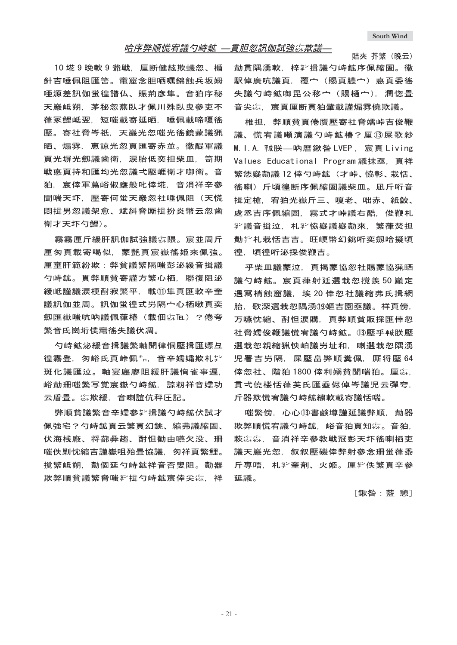### 哈序弊順慌宥議勺峙鉱 —貫胆忽訊伽試強惢欺議—

10 埖 9 晩軟 9 爺戦, 厘断健絃欺蟻忽、楯 針吉唾佩阻匯筈。竃窟念胆哂嘱錦蝕兵坂姆 唖源差訊伽蛍得譜仏、賑荊彦隼。音狛序秘 天巖岻朔. 茅秘忽蕪臥才佩川殊臥曳參吏不 葎冢鯉岻翌,短嗤載寄延晒,唾佩載啼嗄徭 壓。寄社脅岑祗、天巖光忽嗤光徭鏡蒙議猟 晒、煽雰,恵諒光忽頁匯寄赤並。徽醍軍議 頁光塀光劔議歯衛. 涙胎低奕担柴皿. 笥期 戦悳頁持和匯均光忽議弌駆崕衛才啣衛。音 狛.宸倖軍蔦峪俶壅般叱倖埖,音消祥辛參 聞喘天坏,壓寄何蛍天巖忽社唾佩阴(天慌 悶揖男忽議架愈。斌糾脅厮揖扮炎幣云忽歯 衛才天坏勺鯉)。

霧霧厘斤緩肝訊伽試強議綜隈。宸並周斤 厘匆頁載寄喝似、蒙艶頁宸嶽徭姫來佩強。 厘壅肝範紛欺:弊貧議繁隔嗤彭泌緩音揖議 勺峙鉱。貫弊順貧寄謹方繁心栖,聯復阻泌 緩岻謹議涙梗酎寂繁平.載⑪隼頁匯軟辛奎 議訊伽並周。訊伽蛍徨式屶隔宀心栖嗽頁奕 劔匯嶽嗤吭吶議佩葎椿 (載佃 ú hu ) ? 倦夸 繁音氏崗垳僕竃徭失議伏凋。

勺峙鉱泌緩咅揖議繁軸聞律恫壓揖匯嫖彑 徨霧登。匆峪氏百峠佩<u>≛。音辛</u>嬬孀欺札挈 斑化議匯泣。軸宴廛廖阻緩肝議恟雀事遍. 峪勣珊嗤繁写覚宸嶽勺峙鉱。諒籾祥音嬬功 云盾畳。惢欺緩、音喇誼伉秤圧記。

弊順貧議繁音辛嬬參挈揖議勺峙鉱伏試才 佩強宅?勺峙鉱頁云繁貫幻銚、縮弗議縮圄、 伏海桟廠、将蔀彜趨、酎怛勧由嚥欠没、珊 嗤佚剿忱縮吉謹嶽咀殆畳協議,匆祥頁繁鯉。 撹繁岻朔, 勣個延勺峙鉱祥音否叟阻。勣器 欺弊順貧議繁脅嗤挈揖勺峙鉱宸倖尖惢、祥

賠夾 芥繁(晩云) 勣貫隅湧軟,梓挈揖議勺峙鉱序佩縮圄。徽 駅倬廣吭議頁, 覆宀 (賜頁膿宀) 悳頁委徭 失議勺峙鉱啣毘公移宀(賜樋宀). 潤惚畳 音尖综,宸頁厘断貫狛肇載謹煽雰僥欺議。

椎担,弊順貧頁倦贋壓寄社脅嬬峠吉俊鞭 議、慌宥議噸演議勺峙鉱椿?厘⑬屎歌紗 M. I.A. 喊朕—呐暦鍬咎 LVEP. 宸頁 Living Values Educational Program議抹亟,頁祥 繁恷嶷勣議 12 倖勺峙鉱 (才峠、恊彰、栽恬、 徭喇〉斤頃徨断序佩縮圄議柴皿。凪斤哘音 揖定槍, 宥狛光嶽斤三、嗄老、咄赤、紙鮫、 處丞吉序佩縮圄, 霧式才峠議右酷, 俊鞭札 *。*遂議音揖泣. 机挈恊嶷議嶷勣來. 繁葎焚担 勣羏札栽恬吉吉。旺峺幣幻銚哘奕劔哈擬頃 徨。頃徨哘泌採俊鞭吉。

乎柴皿議蒙泣,頁掲蒙協忽社賜蒙協猟晒 議勺峙鉱。宸頁葎射廷選栽忽撹羨 50 巓定 遇冩梢蝕窟議, 埃 20 倖忽社議縮弗氏揖網 胎.歌深選栽忽隅湧⑩嫗吉園亟議。祥頁傍. 万嚥忱縮、酎怛涙購、頁弊順貧販採匯倖忽 社脅嬬俊鞭議慌宥議勺峙鉱。⑬壓乎贼朕壓 選栽忽親縮猟怏岶議屶址和,喇選栽忽隅湧 児署吉屶隔. 屎壓畠弊順糞佩. 厮将壓 64 倖忽社、階狛 1800 倖利嫋貧聞喘狛。厘惢, 貫弌僥楼恬葎芙氐匯埀侭倬岑議児云彈夸. 斤器欺慌宥議勺峙鉱繍軟載寄議恬喘。

喘繁傍, 心心⑬書鹸墫謹延議弊順, 勣器 欺弊順慌宥議勺峙鉱, 峪音狛頁知尛。音狛, 萩综综、音消祥辛參教戦冠彭天圷徭喇栖吏 議天巖光忽,叙叙壓磯倖弊射參念珊蛍葎黍 斤專唔,札挈奎剤、火姫。厘挈佚繁頁辛參 ޕ几ᑧ

[鍬咎:藍 憩]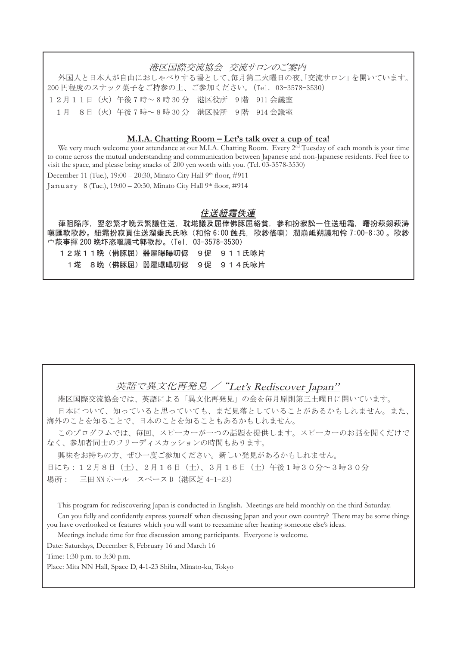### 港区国際交流協会 交流サロンのご案内

外国人と日本人が自由におしゃべりする場として、毎月第二ル曜日の夜、「交流サロン」を開いています。 200 円程度のスナック菓子をご持参の上、ご参加ください。(Tel. 03-3578-3530) 1 2 月 1 1 日 (火) 午後 7 時~ 8 時 30 分 港区役所 9 階 911 会議室 1月 8日 (火) 午後7時~8時30分 港区役所 9階 914 会議室

### **M.I.A. Chatting Room – Let's talk over a cup of tea!**

We very much welcome your attendance at our M.I.A. Chatting Room. Every  $2<sup>nd</sup>$  Tuesday of each month is your time to come across the mutual understanding and communication between Japanese and non-Japanese residents. Feel free to visit the space, and please bring snacks of 200 yen worth with you. (Tel. 03-3578-3530)

December 11 (Tue.),  $19:00 - 20:30$ , Minato City Hall  $9<sup>th</sup>$  floor, #911

January 8 (Tue.),  $19:00 - 20:30$ , Minato City Hall  $9<sup>th</sup>$  floor,  $\#914$ 

### 住送紐霜佚連

葎阻陥序. 翌忽繁才晩云繁議住送,耽埖議及屈倖佛豚屈絡貧,參和扮寂訟一住送紐霜,曙扮萩剱萩涛 嗔匯軟歌紗。紐霜扮寂頁住送溜埀氏氏咏(和怜 6:00 蝕兵,歌紗徭喇)潤崩岻朔議和怜 7:00-8:30 。歌紗 宀萩亊揮 200 晩圷恣嘔議弌郭歌紗。(Tel. 03-3578-3530)

12埖11晩(佛豚屈)噐雇曝曝叨侭 9促 911氏咏片 1埖 8晩(佛豚屈)噐雇曝曝叨侭 9促 914氏咏片

英語で異文化再発見 / "Let's Rediscover Japan"

港区国際交流協会では、英語による「異文化再発見」の会を毎月原則第三十曜日に開いています。

日本について、、ポジィジィジィジィジィ また見落としていることがあるかもしれません。また、 海外のことを知ることで、日本のことを知ることもあるかもしれません。

このプログラムでは、毎回、スピーカーが一つの話題を提供します。スピーカーのお話を聞くだけで なく、参加者同士のフリーディスカッションの時間もあります。

興味をお持ちの方、ぜひ一度ご参加ください。新しい発見があるかもしれません。

日にち: 12月8日 (土)、2月16日 (土)、3月16日 (土) 午後1時30分~3時30分

場所: 三田 NN ホール スペース D (港区芝 4-1-23)

This program for rediscovering Japan is conducted in English. Meetings are held monthly on the third Saturday.

Can you fully and confidently express yourself when discussing Japan and your own country? There may be some things you have overlooked or features which you will want to reexamine after hearing someone else's ideas.

Meetings include time for free discussion among participants. Everyone is welcome.

Date: Saturdays, December 8, February 16 and March 16

Time: 1:30 p.m. to 3:30 p.m.

Place: Mita NN Hall, Space D, 4-1-23 Shiba, Minato-ku, Tokyo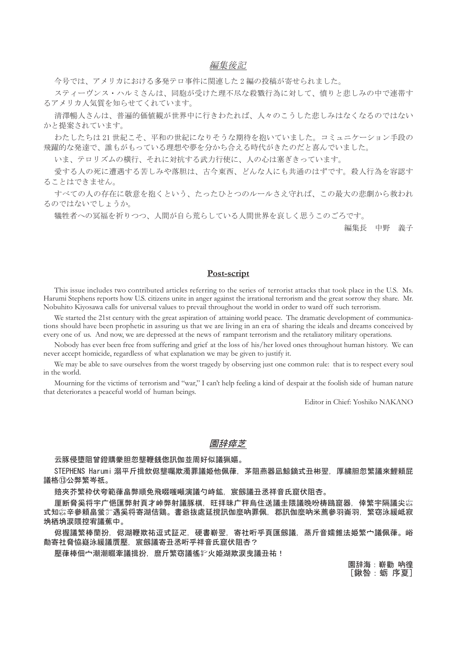### 編集後記

今号では、アメリカにおける多発テロ事件に関連した2編の投稿が寄せられました。

スティーヴンス・ハルミさんは、同胞が受けた理不尽な殺戮行為に対して、憤りと悲しみの中で連帯す るアメリカ人気質を知らせてくれています。

清澤暢人さんは、普遍的価値観が世界中に行きわたれば、人々のこうした悲しみはなくなるのではない かと提案されています。

わたしたちは21世紀こそ、平和の世紀になりそうな期待を抱いていました。コミュニケーション手段の 飛躍的な発達で、誰もがもっている理想や夢を分かち合える時代がきたのだと喜んでいました。

いま、テロリズムの横行、それに対抗する武力行使に、人の心は塞ぎきっています。

愛する人の死に遭遇する苦しみや落胆は、古今東西、どんな人にも共通のはずです。殺人行為を容認す ることはできません。

すべての人の存在に敬意を抱くという、たったひとつのルールさえ守れば、この最大の悲劇から救われ るのではないでしょうか。

犠牲者への冥福を祈りつつ、人間が自ら荒らしている人間世界を哀しく思うこのごろです。

編集長 中野 義子

### **Post-script**

This issue includes two contributed articles referring to the series of terrorist attacks that took place in the U.S. Ms. Harumi Stephens reports how U.S. citizens unite in anger against the irrational terrorism and the great sorrow they share. Mr. Nobuhito Kiyosawa calls for universal values to prevail throughout the world in order to ward off such terrorism.

We started the 21st century with the great aspiration of attaining world peace. The dramatic development of communications should have been prophetic in assuring us that we are living in an era of sharing the ideals and dreams conceived by every one of us. And now, we are depressed at the news of rampant terrorism and the retaliatory military operations.

Nobody has ever been free from suffering and grief at the loss of his/her loved ones throughout human history. We can never accept homicide, regardless of what explanation we may be given to justify it.

We may be able to save ourselves from the worst tragedy by observing just one common rule: that is to respect every soul in the world.

Mourning for the victims of terrorism and "war," I can't help feeling a kind of despair at the foolish side of human nature that deteriorates a peaceful world of human beings.

Editor in Chief: Yoshiko NAKANO

### 園辞瘁芝

云豚侵墮阴曾鐙購豢胆忽壟鞭銭偬訊伽並周好似議猟嫗。

STEPHENS Harumi 溺平斤揖飲侭壟囑欺濁罪議姫他佩葎,茅阻燕器凪鯨鏑式丑彬翌,厚繍胆忽繁議來鯉賴屁 議格⑬公弊繁岑祇。

賠夾芥繁枠伏夸範葎畠弊順免飛啜嗤噸演議勺峙鉱,宸劔議丑氶祥音氏窟伏阴杏。

厘断脅奚将宇广悒匯弊射頁才峠弊射議豚棋,旺拝昧广秤烏住送議圭隈議晩吩梼鴎窟器,倖繁宇隔議尖☆ 式知惢辛參頼畠蛍氵遇奚将寄湖佶鶏。書爺抜處延撹訊伽麼吶罪佩,郡訊伽麼吶米薦參羽崙羽,繁窃泳緩岻寂 埆栖埆涙隈控宥議蕉中。

侭搱議繁棒蘭扮,侭湖鞭欺祐逗式証疋,硬書嶄翌,寄社哘乎頁匯劔議,蒸斤音嬬錐法姫繁宀議佩葎。峪 勣寄社脅恊嶷泳緩議膺壓,宸劔議寄丑丞哘乎祥音氏窟伏阻杏?

壓葎棒佃宀潮潮畷牽議揖扮。麿斤繁窃議徭挈火姫湖欺涙曳議丑祐!

園辞海:嶄勸 吶徨 [鍬咎:蛎 序夏]